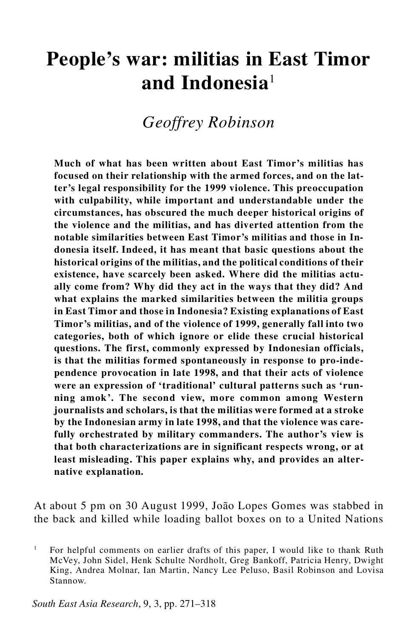# **People's war: militias in East Timor and Indonesia** 1

## *Geoffrey Robinson*

**Much of what has been written about East Timor's militias has focused on their relationship with the armed forces, and on the latter's legal responsibility for the 1999 violence. This preoccupation with culpability, while important and understandable under the circumstances, has obscured the much deeper historical origins of the violence and the militias, and has diverted attention from the notable similarities between East Timor's militias and those in Indonesia itself. Indeed, it has meant that basic questions about the historical origins of the militias, and the political conditions of their existence, have scarcely been asked. Where did the militias actually come from? Why did they act in the ways that they did? And what explains the marked similarities between the militia groups in East Timor and those in Indonesia? Existing explanations of East Timor's militias, and of the violence of 1999, generally fall into two categories, both of which ignore or elide these crucial historical questions. The first, commonly expressed by Indonesian officials, is that the militias formed spontaneously in response to pro-independence provocation in late 1998, and that their acts of violence were an expression of 'traditional' cultural patterns such as 'run ning amok'. The second view, more common among Western journalists and scholars, is that the militias were formed at a stroke by the Indonesian army in late 1998, and that the violence was carefully orchestrated by military commanders. The author's view is that both characterizations are in significant respects wrong, or at least misleading. This paper explains why, and provides an alternative explanation.**

At about 5 pm on 30 August 1999, João Lopes Gomes was stabbed in the back and killed while loading ballot boxes on to a United Nations

<sup>&</sup>lt;sup>1</sup> For helpful comments on earlier drafts of this paper, I would like to thank Ruth McVey, John Sidel, Henk Schulte Nordholt, Greg Bankoff, Patricia Henry, Dwight King, Andrea Molnar, Ian Martin, Nancy Lee Peluso, Basil Robinson and Lovisa Stannow.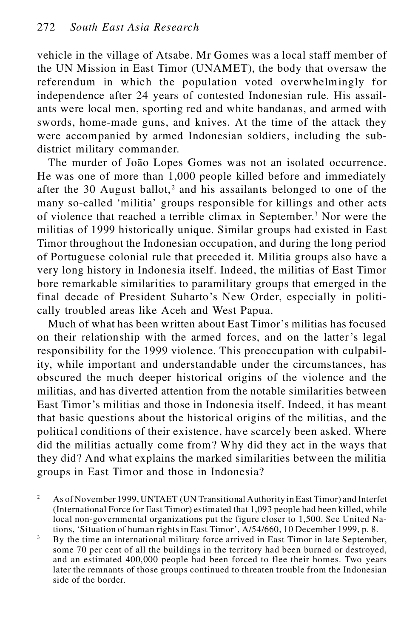vehicle in the village of Atsabe. Mr Gomes was a local staff member of the UN Mission in East Timor (UNAMET), the body that oversaw the referendum in which the population voted overwhelmingly for independence after 24 years of contested Indonesian rule. His assailants were local men, sporting red and white bandanas, and armed with swords, home-made guns, and knives. At the time of the attack they were accompanied by armed Indonesian soldiers, including the subdistrict military commander.

The murder of João Lopes Gomes was not an isolated occurrence. He was one of more than 1,000 people killed before and immediately after the 30 August ballot,<sup>2</sup> and his assailants belonged to one of the many so-called 'militia' groups responsible for killings and other acts of violence that reached a terrible climax in September.<sup>3</sup> Nor were the militias of 1999 historically unique. Similar groups had existed in East Timor throughout the Indonesian occupation, and during the long period of Portuguese colonial rule that preceded it. Militia groups also have a very long history in Indonesia itself. Indeed, the militias of East Timor bore remarkable similarities to paramilitary groups that emerged in the final decade of President Suharto's New Order, especially in politically troubled areas like Aceh and West Papua.

Much of what has been written about East Timor's militias has focused on their relationship with the armed forces, and on the latter's legal responsibility for the 1999 violence. This preoccupation with culpability, while important and understandable under the circumstances, has obscured the much deeper historical origins of the violence and the militias, and has diverted attention from the notable similarities between East Timor's militias and those in Indonesia itself. Indeed, it has meant that basic questions about the historical origins of the militias, and the political conditions of their existence, have scarcely been asked. Where did the militias actually come from? Why did they act in the ways that they did? And what explains the marked similarities between the militia groups in East Timor and those in Indonesia?

<sup>&</sup>lt;sup>2</sup> As of November 1999, UNTAET (UN Transitional Authority in East Timor) and Interfet (International Force for East Timor) estimated that 1,093 people had been killed, while local non-governmental organizations put the figure closer to 1,500. See United Nations, 'Situation of human rights in East Timor', A/54/660, 10 December 1999, p. 8.

 $3$  By the time an international military force arrived in East Timor in late September, some 70 per cent of all the buildings in the territory had been burned or destroyed, and an estimated 400,000 people had been forced to flee their homes. Two years later the remnants of those groups continued to threaten trouble from the Indonesian side of the border.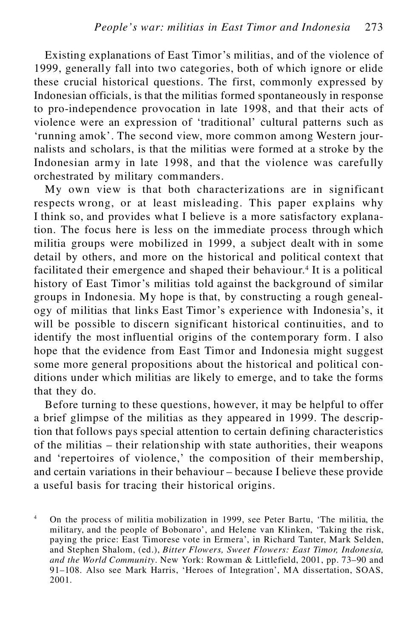Existing explanations of East Timor's militias, and of the violence of 1999, generally fall into two categories, both of which ignore or elide these crucial historical questions. The first, commonly expressed by Indonesian officials, is that the militias formed spontaneously in response to pro-independence provocation in late 1998, and that their acts of violence were an expression of 'traditional' cultural patterns such as 'running amok'. The second view, more common among Western journalists and scholars, is that the militias were formed at a stroke by the Indonesian army in late 1998, and that the violence was carefully orchestrated by military commanders.

My own view is that both characterizations are in significant respects wrong, or at least misleading. This paper explains why I think so, and provides what I believe is a more satisfactory explanation. The focus here is less on the immediate process through which militia groups were mobilized in 1999, a subject dealt with in some detail by others, and more on the historical and political context that facilitated their emergence and shaped their behaviour.<sup>4</sup> It is a political history of East Timor's militias told against the background of similar groups in Indonesia. My hope is that, by constructing a rough genealogy of militias that links East Timor's experience with Indonesia's, it will be possible to discern significant historical continuities, and to identify the most influential origins of the contemporary form. I also hope that the evidence from East Timor and Indonesia might suggest some more general propositions about the historical and political conditions under which militias are likely to emerge, and to take the forms that they do.

Before turning to these questions, however, it may be helpful to offer a brief glimpse of the militias as they appeared in 1999. The description that follows pays special attention to certain defining characteristics of the militias – their relationship with state authorities, their weapons and 'repertoires of violence,' the composition of their membership, and certain variations in their behaviour – because I believe these provide a useful basis for tracing their historical origins.

<sup>4</sup> On the process of militia mobilization in 1999, see Peter Bartu, 'The militia, the military, and the people of Bobonaro', and Helene van Klinken, 'Taking the risk, paying the price: East Timorese vote in Ermera', in Richard Tanter, Mark Selden, and Stephen Shalom, (ed.), *Bitter Flowers, Sweet Flowers: East Timor, Indonesia, and the World Community*. New York: Rowman & Littlefield, 2001, pp. 73–90 and 91–108. Also see Mark Harris, 'Heroes of Integration', MA dissertation, SOAS, 2001.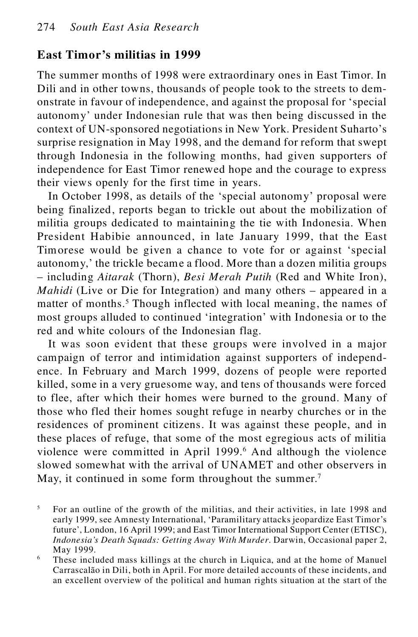#### **East Timor's militias in 1999**

The summer months of 1998 were extraordinary ones in East Timor. In Dili and in other towns, thousands of people took to the streets to demonstrate in favour of independence, and against the proposal for 'special autonomy' under Indonesian rule that was then being discussed in the context of UN-sponsored negotiations in New York. President Suharto's surprise resignation in May 1998, and the demand for reform that swept through Indonesia in the following months, had given supporters of independence for East Timor renewed hope and the courage to express their views openly for the first time in years.

In October 1998, as details of the 'special autonomy' proposal were being finalized, reports began to trickle out about the mobilization of militia groups dedicated to maintaining the tie with Indonesia. When President Habibie announced, in late January 1999, that the East Timorese would be given a chance to vote for or against 'special autonomy,' the trickle became a flood. More than a dozen militia groups – including *Aitarak* (Thorn), *Besi Merah Putih* (Red and White Iron), *Mahidi* (Live or Die for Integration) and many others – appeared in a matter of months.<sup>5</sup> Though inflected with local meaning, the names of most groups alluded to continued 'integration' with Indonesia or to the red and white colours of the Indonesian flag.

It was soon evident that these groups were involved in a major campaign of terror and intimidation against supporters of independence. In February and March 1999, dozens of people were reported killed, some in a very gruesome way, and tens of thousands were forced to flee, after which their homes were burned to the ground. Many of those who fled their homes sought refuge in nearby churches or in the residences of prominent citizens. It was against these people, and in these places of refuge, that some of the most egregious acts of militia violence were committed in April 1999.<sup>6</sup> And although the violence slowed somewhat with the arrival of UNAMET and other observers in May, it continued in some form throughout the summer.<sup>7</sup>

<sup>5</sup> For an outline of the growth of the militias, and their activities, in late 1998 and early 1999, see Amnesty International, 'Paramilitary attacks jeopardize East Timor's future', London, 16 April 1999; and East Timor International Support Center (ETISC), *Indonesia's Death Squads: Getting Away With Murder*. Darwin, Occasional paper 2, May 1999.

<sup>&</sup>lt;sup>6</sup> These included mass killings at the church in Liquica, and at the home of Manuel Carrascalão in Dili, both in April. For more detailed accounts of these incidents, and an excellent overview of the political and human rights situation at the start of the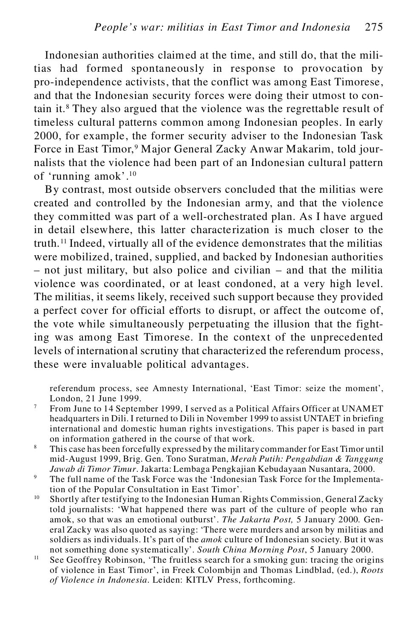Indonesian authorities claimed at the time, and still do, that the militias had formed spontaneously in response to provocation by pro-independence activists, that the conflict was among East Timorese, and that the Indonesian security forces were doing their utmost to contain it.<sup>8</sup> They also argued that the violence was the regrettable result of timeless cultural patterns common among Indonesian peoples. In early 2000, for example, the former security adviser to the Indonesian Task Force in East Timor,<sup>9</sup> Major General Zacky Anwar Makarim, told journalists that the violence had been part of an Indonesian cultural pattern of 'running amok'.<sup>10</sup>

By contrast, most outside observers concluded that the militias were created and controlled by the Indonesian army, and that the violence they committed was part of a well-orchestrated plan. As I have argued in detail elsewhere, this latter characterization is much closer to the truth.<sup>11</sup> Indeed, virtually all of the evidence demonstrates that the militias were mobilized, trained, supplied, and backed by Indonesian authorities – not just military, but also police and civilian – and that the militia violence was coordinated, or at least condoned, at a very high level. The militias, it seems likely, received such support because they provided a perfect cover for official efforts to disrupt, or affect the outcome of, the vote while simultaneously perpetuating the illusion that the fighting was among East Timorese. In the context of the unprecedented levels of international scrutiny that characterized the referendum process, these were invaluable political advantages.

referendum process, see Amnesty International, 'East Timor: seize the moment', London, 21 June 1999.

- <sup>7</sup> From June to 14 September 1999, I served as a Political Affairs Officer at UNAMET headquarters in Dili. I returned to Dili in November 1999 to assist UNTAET in briefing international and domestic human rights investigations. This paper is based in part on information gathered in the course of that work.
- <sup>8</sup> This case has been forcefully expressed by the military commander for East Timor until mid-August 1999, Brig. Gen. Tono Suratman, *Merah Putih: Pengabdian & Tanggung Jawab di Timor Timur*. Jakarta: Lembaga Pengkajian Kebudayaan Nusantara, 2000.
- <sup>9</sup> The full name of the Task Force was the 'Indonesian Task Force for the Implementation of the Popular Consultation in East Timor'.
- <sup>10</sup> Shortly after testifying to the Indonesian Human Rights Commission, General Zacky told journalists: 'What happened there was part of the culture of people who ran amok, so that was an emotional outburst'. *The Jakarta Post,* 5 January 2000*.* General Zacky was also quoted as saying: 'There were murders and arson by militias and soldiers as individuals. It's part of the *amok* culture of Indonesian society. But it was not something done systematically'. *South China Morning Post*, 5 January 2000.
- <sup>11</sup> See Geoffrey Robinson, 'The fruitless search for a smoking gun: tracing the origins of violence in East Timor', in Freek Colombijn and Thomas Lindblad, (ed.), *Roots of Violence in Indonesia*. Leiden: KITLV Press, forthcoming.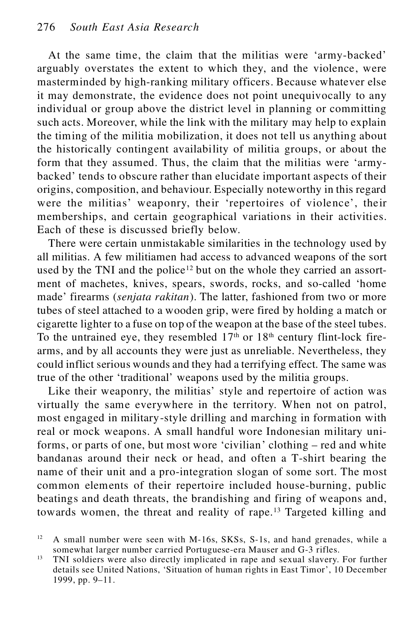At the same time, the claim that the militias were 'army-backed' arguably overstates the extent to which they, and the violence, were masterminded by high-ranking military officers. Because whatever else it may demonstrate, the evidence does not point unequivocally to any individual or group above the district level in planning or committing such acts. Moreover, while the link with the military may help to explain the timing of the militia mobilization, it does not tell us anything about the historically contingent availability of militia groups, or about the form that they assumed. Thus, the claim that the militias were 'armybacked' tends to obscure rather than elucidate important aspects of their origins, composition, and behaviour. Especially noteworthy in this regard were the militias' weaponry, their 'repertoires of violence', their memberships, and certain geographical variations in their activities. Each of these is discussed briefly below.

There were certain unmistakable similarities in the technology used by all militias. A few militiamen had access to advanced weapons of the sort used by the TNI and the police<sup>12</sup> but on the whole they carried an assortment of machetes, knives, spears, swords, rocks, and so-called 'home made' firearms (*senjata rakitan*). The latter, fashioned from two or more tubes of steel attached to a wooden grip, were fired by holding a match or cigarette lighter to a fuse on top of the weapon at the base of the steel tubes. To the untrained eye, they resembled  $17<sup>th</sup>$  or  $18<sup>th</sup>$  century flint-lock firearms, and by all accounts they were just as unreliable. Nevertheless, they could inflict serious wounds and they had a terrifying effect. The same was true of the other 'traditional' weapons used by the militia groups.

Like their weaponry, the militias' style and repertoire of action was virtually the same everywhere in the territory. When not on patrol, most engaged in military-style drilling and marching in formation with real or mock weapons. A small handful wore Indonesian military uniforms, or parts of one, but most wore 'civilian' clothing – red and white bandanas around their neck or head, and often a T-shirt bearing the name of their unit and a pro-integration slogan of some sort. The most common elements of their repertoire included house-burning, public beatings and death threats, the brandishing and firing of weapons and, towards women, the threat and reality of rape.<sup>13</sup> Targeted killing and

<sup>&</sup>lt;sup>12</sup> A small number were seen with M-16s, SKSs, S-1s, and hand grenades, while a somewhat larger number carried Portuguese-era Mauser and G-3 rifles.

 $13$  TNI soldiers were also directly implicated in rape and sexual slavery. For further details see United Nations, 'Situation of human rights in East Timor', 10 December 1999, pp. 9–11.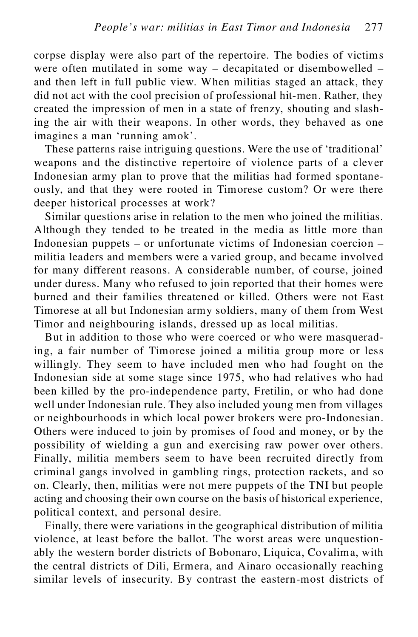corpse display were also part of the repertoire. The bodies of victims were often mutilated in some way – decapitated or disembowelled – and then left in full public view. When militias staged an attack, they did not act with the cool precision of professional hit-men. Rather, they created the impression of men in a state of frenzy, shouting and slashing the air with their weapons. In other words, they behaved as one imagines a man 'running amok'.

These patterns raise intriguing questions. Were the use of 'traditional' weapons and the distinctive repertoire of violence parts of a clever Indonesian army plan to prove that the militias had formed spontaneously, and that they were rooted in Timorese custom? Or were there deeper historical processes at work?

Similar questions arise in relation to the men who joined the militias. Although they tended to be treated in the media as little more than Indonesian puppets – or unfortunate victims of Indonesian coercion – militia leaders and members were a varied group, and became involved for many different reasons. A considerable number, of course, joined under duress. Many who refused to join reported that their homes were burned and their families threatened or killed. Others were not East Timorese at all but Indonesian army soldiers, many of them from West Timor and neighbouring islands, dressed up as local militias.

But in addition to those who were coerced or who were masquerading, a fair number of Timorese joined a militia group more or less willingly. They seem to have included men who had fought on the Indonesian side at some stage since 1975, who had relatives who had been killed by the pro-independence party, Fretilin, or who had done well under Indonesian rule. They also included young men from villages or neighbourhoods in which local power brokers were pro-Indonesian. Others were induced to join by promises of food and money, or by the possibility of wielding a gun and exercising raw power over others. Finally, militia members seem to have been recruited directly from criminal gangs involved in gambling rings, protection rackets, and so on. Clearly, then, militias were not mere puppets of the TNI but people acting and choosing their own course on the basis of historical experience, political context, and personal desire.

Finally, there were variations in the geographical distribution of militia violence, at least before the ballot. The worst areas were unquestionably the western border districts of Bobonaro, Liquica, Covalima, with the central districts of Dili, Ermera, and Ainaro occasionally reaching similar levels of insecurity. By contrast the eastern-most districts of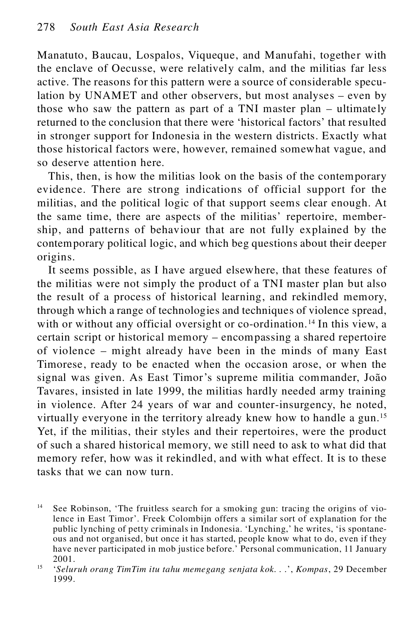Manatuto, Baucau, Lospalos, Viqueque, and Manufahi, together with the enclave of Oecusse, were relatively calm, and the militias far less active. The reasons for this pattern were a source of considerable speculation by UNAMET and other observers, but most analyses – even by those who saw the pattern as part of a TNI master plan – ultimately returned to the conclusion that there were 'historical factors' that resulted in stronger support for Indonesia in the western districts. Exactly what those historical factors were, however, remained somewhat vague, and so deserve attention here.

This, then, is how the militias look on the basis of the contemporary evidence. There are strong indications of official support for the militias, and the political logic of that support seems clear enough. At the same time, there are aspects of the militias' repertoire, membership, and patterns of behaviour that are not fully explained by the contemporary political logic, and which beg questions about their deeper origins.

It seems possible, as I have argued elsewhere, that these features of the militias were not simply the product of a TNI master plan but also the result of a process of historical learning, and rekindled memory, through which a range of technologies and techniques of violence spread, with or without any official oversight or co-ordination.<sup>14</sup> In this view, a certain script or historical memory – encompassing a shared repertoire of violence – might already have been in the minds of many East Timorese, ready to be enacted when the occasion arose, or when the signal was given. As East Timor's supreme militia commander, João Tavares, insisted in late 1999, the militias hardly needed army training in violence. After 24 years of war and counter-insurgency, he noted, virtually everyone in the territory already knew how to handle a gun.<sup>15</sup> Yet, if the militias, their styles and their repertoires, were the product of such a shared historical memory, we still need to ask to what did that memory refer, how was it rekindled, and with what effect. It is to these tasks that we can now turn.

<sup>&</sup>lt;sup>14</sup> See Robinson, 'The fruitless search for a smoking gun: tracing the origins of violence in East Timor'. Freek Colombijn offers a similar sort of explanation for the public lynching of petty criminals in Indonesia. 'Lynching,' he writes, 'is spontane ous and not organised, but once it has started, people know what to do, even if they have never participated in mob justice before.' Personal communication, 11 January 2001.

<sup>15</sup> '*Seluruh orang TimTim itu tahu memegang senjata kok. . .*', *Kompas*, 29 December 1999.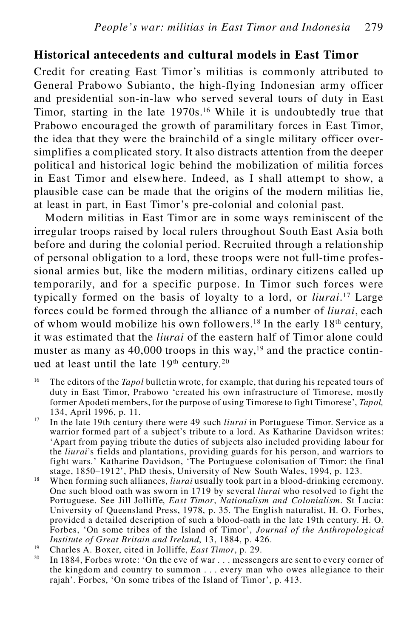#### **Historical antecedents and cultural models in East Timor**

Credit for creating East Timor's militias is commonly attributed to General Prabowo Subianto, the high-flying Indonesian army officer and presidential son-in-law who served several tours of duty in East Timor, starting in the late 1970s.<sup>16</sup> While it is undoubtedly true that Prabowo encouraged the growth of paramilitary forces in East Timor, the idea that they were the brainchild of a single military officer oversimplifies a complicated story. It also distracts attention from the deeper political and historical logic behind the mobilization of militia forces in East Timor and elsewhere. Indeed, as I shall attempt to show, a plausible case can be made that the origins of the modern militias lie, at least in part, in East Timor's pre-colonial and colonial past.

Modern militias in East Timor are in some ways reminiscent of the irregular troops raised by local rulers throughout South East Asia both before and during the colonial period. Recruited through a relationship of personal obligation to a lord, these troops were not full-time professional armies but, like the modern militias, ordinary citizens called up temporarily, and for a specific purpose. In Timor such forces were typically formed on the basis of loyalty to a lord, or *liurai*.<sup>17</sup> Large forces could be formed through the alliance of a number of *liurai*, each of whom would mobilize his own followers.<sup>18</sup> In the early  $18<sup>th</sup>$  century, it was estimated that the *liurai* of the eastern half of Timor alone could muster as many as  $40,000$  troops in this way,<sup>19</sup> and the practice continued at least until the late  $19<sup>th</sup>$  century.<sup>20</sup>

- <sup>16</sup> The editors of the *Tapol* bulletin wrote, for example, that during his repeated tours of duty in East Timor, Prabowo 'created his own infrastructure of Timorese, mostly former Apodeti members, for the purpose of using Timorese to fight Timorese', *Tapol,* 134, April 1996, p. 11.
- <sup>17</sup> In the late 19th century there were 49 such *liurai* in Portuguese Timor. Service as a warrior formed part of a subject's tribute to a lord. As Katharine Davidson writes: 'Apart from paying tribute the duties of subjects also included providing labour for the *liurai*'s fields and plantations, providing guards for his person, and warriors to fight wars.' Katharine Davidson, 'The Portuguese colonisation of Timor: the final stage, 1850–1912', PhD thesis, University of New South Wales, 1994, p. 123.
- <sup>18</sup> When forming such alliances, *liurai* usually took part in a blood-drinking ceremony. One such blood oath was sworn in 1719 by several *liurai* who resolved to fight the Portuguese. See Jill Jolliffe, *East Timor*, *Nationalism and Colonialism*. St Lucia: University of Queensland Press, 1978, p. 35. The English naturalist, H. O. Forbes, provided a detailed description of such a blood-oath in the late 19th century. H. O. Forbes, 'On some tribes of the Island of Timor', *Journal of the Anthropological Institute of Great Britain and Ireland*, 13, 1884, p. 426.
- <sup>19</sup> Charles A. Boxer, cited in Jolliffe, *East Timor*, p. 29.
- In 1884, Forbes wrote: 'On the eve of war . . . messengers are sent to every corner of the kingdom and country to summon . . . every man who owes allegiance to their rajah'. Forbes, 'On some tribes of the Island of Timor', p. 413.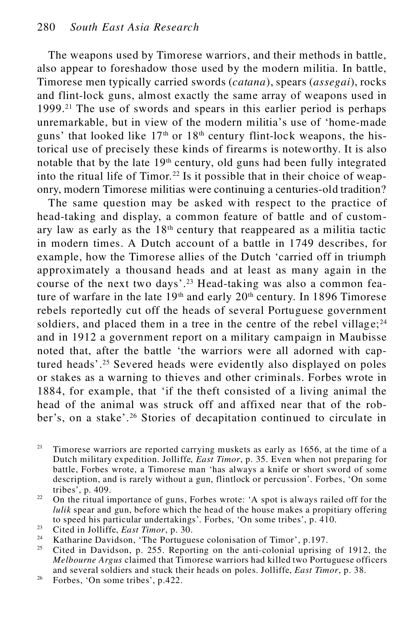The weapons used by Timorese warriors, and their methods in battle, also appear to foreshadow those used by the modern militia. In battle, Timorese men typically carried swords (*catana*), spears (*assegai*), rocks and flint-lock guns, almost exactly the same array of weapons used in 1999.<sup>21</sup> The use of swords and spears in this earlier period is perhaps unremarkable, but in view of the modern militia's use of 'home-made guns' that looked like  $17<sup>th</sup>$  or  $18<sup>th</sup>$  century flint-lock weapons, the historical use of precisely these kinds of firearms is noteworthy. It is also notable that by the late  $19<sup>th</sup>$  century, old guns had been fully integrated into the ritual life of  $T_{\text{imor}}^{22}$  Is it possible that in their choice of weaponry, modern Timorese militias were continuing a centuries-old tradition?

The same question may be asked with respect to the practice of head-taking and display, a common feature of battle and of custom ary law as early as the  $18<sup>th</sup>$  century that reappeared as a militia tactic in modern times. A Dutch account of a battle in 1749 describes, for example, how the Timorese allies of the Dutch 'carried off in triumph approximately a thousand heads and at least as many again in the course of the next two days'.<sup>23</sup> Head-taking was also a common feature of warfare in the late  $19<sup>th</sup>$  and early  $20<sup>th</sup>$  century. In 1896 Timorese rebels reportedly cut off the heads of several Portuguese government soldiers, and placed them in a tree in the centre of the rebel village; $24$ and in 1912 a government report on a military campaign in Maubisse noted that, after the battle 'the warriors were all adorned with captured heads'.<sup>25</sup> Severed heads were evidently also displayed on poles or stakes as a warning to thieves and other criminals. Forbes wrote in 1884, for example, that 'if the theft consisted of a living animal the head of the animal was struck off and affixed near that of the robber's, on a stake'.<sup>26</sup> Stories of decapitation continued to circulate in

- <sup>21</sup> Timorese warriors are reported carrying muskets as early as  $1656$ , at the time of a Dutch military expedition. Jolliffe, *East Timor*, p. 35. Even when not preparing for battle, Forbes wrote, a Timorese man 'has always a knife or short sword of some description, and is rarely without a gun, flintlock or percussion'. Forbes, 'On some tribes', p. 409.
- <sup>22</sup> On the ritual importance of guns, Forbes wrote: 'A spot is always railed off for the *lulik* spear and gun, before which the head of the house makes a propitiary offering to speed his particular undertakings'. Forbes, 'On some tribes', p. 410.
- <sup>23</sup> Cited in Jolliffe, *East Timor*, p. 30.
- <sup>24</sup> Katharine Davidson, 'The Portuguese colonisation of Timor', p.197.<br><sup>25</sup> Cited in Davidson, p. 255, Reporting on the anti-colonial uprising
- <sup>25</sup> Cited in Davidson, p. 255. Reporting on the anti-colonial uprising of 1912, the *Melbourne Argus* claimed that Timorese warriors had killed two Portuguese officers and several soldiers and stuck their heads on poles. Jolliffe, *East Timor*, p. 38.
- <sup>26</sup> Forbes, 'On some tribes', p.422.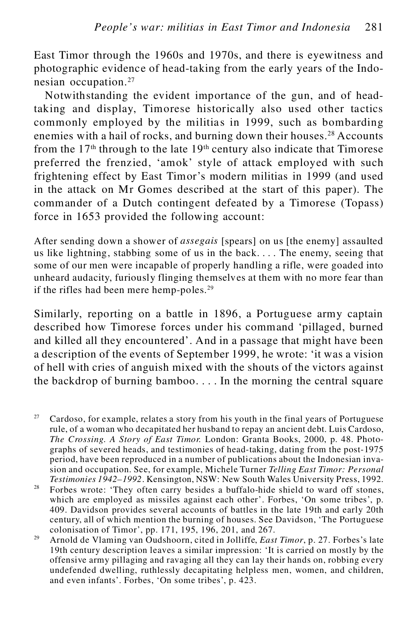East Timor through the 1960s and 1970s, and there is eyewitness and photographic evidence of head-taking from the early years of the Indonesian occupation.<sup>27</sup>

Notwithstanding the evident importance of the gun, and of headtaking and display, Timorese historically also used other tactics commonly employed by the militias in 1999, such as bombarding enemies with a hail of rocks, and burning down their houses.<sup>28</sup> Accounts from the  $17<sup>th</sup>$  through to the late  $19<sup>th</sup>$  century also indicate that Timorese preferred the frenzied, 'amok' style of attack employed with such frightening effect by East Timor's modern militias in 1999 (and used in the attack on Mr Gomes described at the start of this paper). The commander of a Dutch contingent defeated by a Timorese (Topass) force in 1653 provided the following account:

After sending down a shower of *assegais* [spears] on us [the enemy] assaulted us like lightning, stabbing some of us in the back. . . . The enemy, seeing that some of our men were incapable of properly handling a rifle, were goaded into unheard audacity, furiously flinging themselves at them with no more fear than if the rifles had been mere hemp-poles.<sup>29</sup>

Similarly, reporting on a battle in 1896, a Portuguese army captain described how Timorese forces under his command 'pillaged, burned and killed all they encountered'. And in a passage that might have been a description of the events of September 1999, he wrote: 'it was a vision of hell with cries of anguish mixed with the shouts of the victors against the backdrop of burning bamboo. . . . In the morning the central square

 $27$  Cardoso, for example, relates a story from his youth in the final years of Portuguese rule, of a woman who decapitated her husband to repay an ancient debt. Luis Cardoso, *The Crossing. A Story of East Timor.* London: Granta Books, 2000, p. 48. Photographs of severed heads, and testimonies of head-taking, dating from the post-1975 period, have been reproduced in a number of publications about the Indonesian invasion and occupation. See, for example, Michele Turner *Telling East Timor: Personal Testimonies 1942–1992*. Kensington, NSW: New South Wales University Press, 1992.

<sup>28</sup> Forbes wrote: 'They often carry besides a buffalo-hide shield to ward off stones, which are employed as missiles against each other'. Forbes, 'On some tribes', p. 409. Davidson provides several accounts of battles in the late 19th and early 20th century, all of which mention the burning of houses. See Davidson, 'The Portuguese colonisation of Timor', pp. 171, 195, 196, 201, and 267.

<sup>29</sup> Arnold de Vlaming van Oudshoorn, cited in Jolliffe, *East Timor*, p. 27. Forbes's late 19th century description leaves a similar impression: 'It is carried on mostly by the offensive army pillaging and ravaging all they can lay their hands on, robbing every undefended dwelling, ruthlessly decapitating helpless men, women, and children, and even infants'. Forbes, 'On some tribes', p. 423.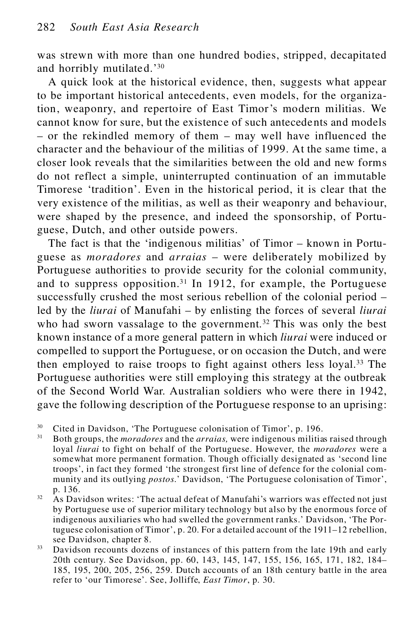was strewn with more than one hundred bodies, stripped, decapitated and horribly mutilated.'<sup>30</sup>

A quick look at the historical evidence, then, suggests what appear to be important historical antecedents, even models, for the organization, weaponry, and repertoire of East Timor's modern militias. We cannot know for sure, but the existence of such antecedents and models – or the rekindled memory of them – may well have influenced the character and the behaviour of the militias of 1999. At the same time, a closer look reveals that the similarities between the old and new forms do not reflect a simple, uninterrupted continuation of an immutable Timorese 'tradition'. Even in the historical period, it is clear that the very existence of the militias, as well as their weaponry and behaviour, were shaped by the presence, and indeed the sponsorship, of Portuguese, Dutch, and other outside powers.

The fact is that the 'indigenous militias' of Timor – known in Portuguese as *moradores* and *arraias* – were deliberately mobilized by Portuguese authorities to provide security for the colonial community, and to suppress opposition.<sup>31</sup> In 1912, for example, the Portuguese successfully crushed the most serious rebellion of the colonial period – led by the *liurai* of Manufahi – by enlisting the forces of several *liurai* who had sworn vassalage to the government.<sup>32</sup> This was only the best known instance of a more general pattern in which *liurai* were induced or compelled to support the Portuguese, or on occasion the Dutch, and were then employed to raise troops to fight against others less loyal.<sup>33</sup> The Portuguese authorities were still employing this strategy at the outbreak of the Second World War. Australian soldiers who were there in 1942, gave the following description of the Portuguese response to an uprising:

- <sup>31</sup> Both groups, the *moradores* and the *arraias,* were indigenous militias raised through loyal *liurai* to fight on behalf of the Portuguese. However, the *moradores* were a somewhat more permanent formation. Though officially designated as 'second line troops', in fact they formed 'the strongest first line of defence for the colonial com munity and its outlying *postos.*' Davidson, 'The Portuguese colonisation of Timor', p. 136.
- $32$  As Davidson writes: 'The actual defeat of Manufahi's warriors was effected not just by Portuguese use of superior military technology but also by the enormous force of indigenous auxiliaries who had swelled the government ranks.' Davidson, 'The Portuguese colonisation of Timor', p. 20. For a detailed account of the 1911–12 rebellion, see Davidson, chapter 8.
- <sup>33</sup> Davidson recounts dozens of instances of this pattern from the late 19th and early 20th century. See Davidson, pp. 60, 143, 145, 147, 155, 156, 165, 171, 182, 184– 185, 195, 200, 205, 256, 259. Dutch accounts of an 18th century battle in the area refer to 'our Timorese'. See, Jolliffe, *East Timor*, p. 30.

<sup>&</sup>lt;sup>30</sup> Cited in Davidson, 'The Portuguese colonisation of Timor', p. 196.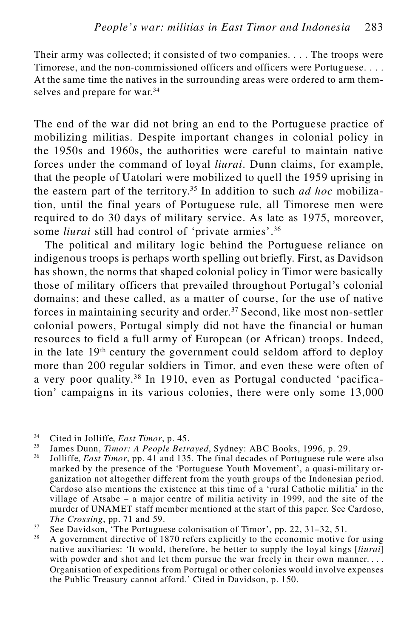Their army was collected; it consisted of two companies. . . . The troops were Timorese, and the non-commissioned officers and officers were Portuguese. . . . At the same time the natives in the surrounding areas were ordered to arm themselves and prepare for war.<sup>34</sup>

The end of the war did not bring an end to the Portuguese practice of mobilizing militias. Despite important changes in colonial policy in the 1950s and 1960s, the authorities were careful to maintain native forces under the command of loyal *liurai*. Dunn claims, for example, that the people of Uatolari were mobilized to quell the 1959 uprising in the eastern part of the territory.<sup>35</sup> In addition to such *ad hoc* mobilization, until the final years of Portuguese rule, all Timorese men were required to do 30 days of military service. As late as 1975, moreover, some *liurai* still had control of 'private armies'.<sup>36</sup>

The political and military logic behind the Portuguese reliance on indigenous troops is perhaps worth spelling out briefly. First, as Davidson has shown, the norms that shaped colonial policy in Timor were basically those of military officers that prevailed throughout Portugal's colonial domains; and these called, as a matter of course, for the use of native forces in maintaining security and order.<sup>37</sup> Second, like most non-settler colonial powers, Portugal simply did not have the financial or human resources to field a full army of European (or African) troops. Indeed, in the late  $19<sup>th</sup>$  century the government could seldom afford to deploy more than 200 regular soldiers in Timor, and even these were often of a very poor quality.<sup>38</sup> In 1910, even as Portugal conducted 'pacification' campaigns in its various colonies, there were only some 13,000

<sup>34</sup> Cited in Jolliffe, *East Timor*, p. 45.

<sup>35</sup> James Dunn, *Timor: A People Betrayed*, Sydney: ABC Books, 1996, p. 29.

<sup>36</sup> Jolliffe, *East Timor*, pp. 41 and 135. The final decades of Portuguese rule were also marked by the presence of the 'Portuguese Youth Movement', a quasi-military or ganization not altogether different from the youth groups of the Indonesian period. Cardoso also mentions the existence at this time of a 'rural Catholic militia' in the village of Atsabe – a major centre of militia activity in 1999, and the site of the murder of UNAMET staff member mentioned at the start of this paper. See Cardoso, *The Crossing*, pp. 71 and 59.

 $37$  See Davidson, 'The Portuguese colonisation of Timor', pp. 22, 31–32, 51.<br> $38$  A government directive of 1870 refers avaliably to the accommis matter.

<sup>38</sup> A government directive of 1870 refers explicitly to the economic motive for using native auxiliaries: 'It would, therefore, be better to supply the loyal kings [*liurai*] with powder and shot and let them pursue the war freely in their own manner.... Organisation of expeditions from Portugal or other colonies would involve expenses the Public Treasury cannot afford.' Cited in Davidson, p. 150.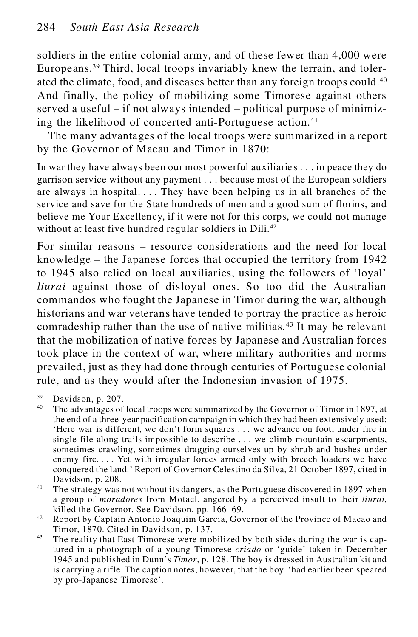soldiers in the entire colonial army, and of these fewer than 4,000 were Europeans.<sup>39</sup> Third, local troops invariably knew the terrain, and tolerated the climate, food, and diseases better than any foreign troops could.<sup>40</sup> And finally, the policy of mobilizing some Timorese against others served a useful – if not always intended – political purpose of minimizing the likelihood of concerted anti-Portuguese action.<sup>41</sup>

The many advantages of the local troops were summarized in a report by the Governor of Macau and Timor in 1870:

In war they have always been our most powerful auxiliarie s . . . in peace they do garrison service without any payment . . . because most of the European soldiers are always in hospital. . . . They have been helping us in all branches of the service and save for the State hundreds of men and a good sum of florins, and believe me Your Excellency, if it were not for this corps, we could not manage without at least five hundred regular soldiers in Dili.<sup>42</sup>

For similar reasons – resource considerations and the need for local knowledge – the Japanese forces that occupied the territory from 1942 to 1945 also relied on local auxiliaries, using the followers of 'loyal' *liurai* against those of disloyal ones. So too did the Australian commandos who fought the Japanese in Timor during the war, although historians and war veterans have tended to portray the practice as heroic comradeship rather than the use of native militias. <sup>43</sup> It may be relevant that the mobilization of native forces by Japanese and Australian forces took place in the context of war, where military authorities and norms prevailed, just as they had done through centuries of Portuguese colonial rule, and as they would after the Indonesian invasion of 1975.

- <sup>41</sup> The strategy was not without its dangers, as the Portuguese discovered in 1897 when a group of *moradores* from Motael, angered by a perceived insult to their *liurai*, killed the Governor. See Davidson, pp. 166–69.
- <sup>42</sup> Report by Captain Antonio Joaquim Garcia, Governor of the Province of Macao and Timor, 1870. Cited in Davidson, p. 137.
- <sup>43</sup> The reality that East Timorese were mobilized by both sides during the war is captured in a photograph of a young Timorese *criado* or 'guide' taken in December 1945 and published in Dunn's *Timor*, p. 128. The boy is dressed in Australian kit and is carrying a rifle. The caption notes, however, that the boy 'had earlier been speared by pro-Japanese Timorese'.

 $39$  Davidson, p. 207.

The advantages of local troops were summarized by the Governor of Timor in 1897, at the end of a three-year pacification campaign in which they had been extensively used: 'Here war is different, we don't form squares . . . we advance on foot, under fire in single file along trails impossible to describe . . . we climb mountain escarpments, sometimes crawling, sometimes dragging ourselves up by shrub and bushes under enemy fire.... Yet with irregular forces armed only with breech loaders we have conquered the land.' Report of Governor Celestino da Silva, 21 October 1897, cited in Davidson, p. 208.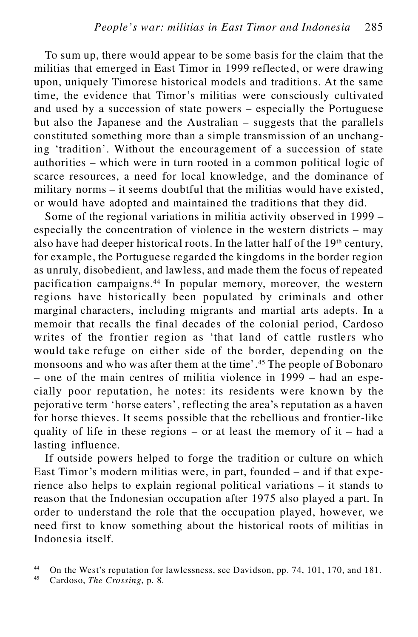To sum up, there would appear to be some basis for the claim that the militias that emerged in East Timor in 1999 reflected, or were drawing upon, uniquely Timorese historical models and traditions. At the same time, the evidence that Timor's militias were consciously cultivated and used by a succession of state powers – especially the Portuguese but also the Japanese and the Australian – suggests that the parallels constituted something more than a simple transmission of an unchanging 'tradition'. Without the encouragement of a succession of state authorities – which were in turn rooted in a common political logic of scarce resources, a need for local knowledge, and the dominance of military norms – it seems doubtful that the militias would have existed, or would have adopted and maintained the traditions that they did.

Some of the regional variations in militia activity observed in 1999 – especially the concentration of violence in the western districts – may also have had deeper historical roots. In the latter half of the 19<sup>th</sup> century, for example, the Portuguese regarded the kingdoms in the border region as unruly, disobedient, and lawless, and made them the focus of repeated pacification campaigns.<sup>44</sup> In popular memory, moreover, the western regions have historically been populated by criminals and other marginal characters, including migrants and martial arts adepts. In a memoir that recalls the final decades of the colonial period, Cardoso writes of the frontier region as 'that land of cattle rustlers who would take refuge on either side of the border, depending on the monsoons and who was after them at the time'.<sup>45</sup> The people of Bobonaro – one of the main centres of militia violence in 1999 – had an especially poor reputation, he notes: its residents were known by the pejorative term 'horse eaters', reflecting the area's reputation as a haven for horse thieves. It seems possible that the rebellious and frontier-like quality of life in these regions – or at least the memory of it – had a lasting influence.

If outside powers helped to forge the tradition or culture on which East Timor's modern militias were, in part, founded – and if that experience also helps to explain regional political variations – it stands to reason that the Indonesian occupation after 1975 also played a part. In order to understand the role that the occupation played, however, we need first to know something about the historical roots of militias in Indonesia itself.

<sup>&</sup>lt;sup>44</sup> On the West's reputation for lawlessness, see Davidson, pp. 74, 101, 170, and 181.

<sup>45</sup> Cardoso, *The Crossing*, p. 8.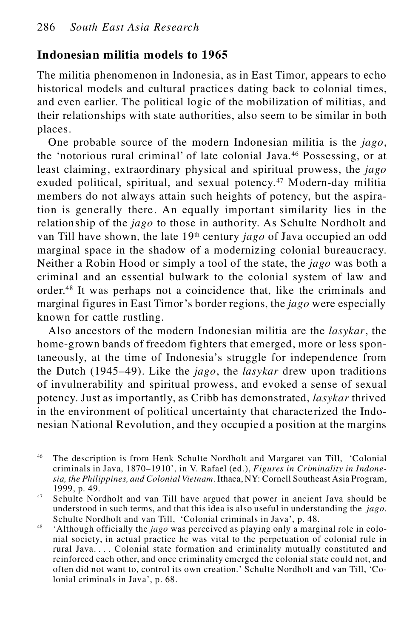#### **Indonesian militia models to 1965**

The militia phenomenon in Indonesia, as in East Timor, appears to echo historical models and cultural practices dating back to colonial times, and even earlier. The political logic of the mobilization of militias, and their relationships with state authorities, also seem to be similar in both places.

One probable source of the modern Indonesian militia is the *jago*, the 'notorious rural criminal' of late colonial Java.<sup>46</sup> Possessing, or at least claiming, extraordinary physical and spiritual prowess, the *jago* exuded political, spiritual, and sexual potency.<sup>47</sup> Modern-day militia members do not always attain such heights of potency, but the aspiration is generally there. An equally important similarity lies in the relationship of the *jago* to those in authority. As Schulte Nordholt and van Till have shown, the late 19<sup>th</sup> century *jago* of Java occupied an odd marginal space in the shadow of a modernizing colonial bureaucracy. Neither a Robin Hood or simply a tool of the state, the *jago* was both a criminal and an essential bulwark to the colonial system of law and order.<sup>48</sup> It was perhaps not a coincidence that, like the criminals and marginal figures in East Timor's border regions, the *jago* were especially known for cattle rustling.

Also ancestors of the modern Indonesian militia are the *lasykar*, the home-grown bands of freedom fighters that emerged, more or less spontaneously, at the time of Indonesia's struggle for independence from the Dutch (1945–49). Like the *jago*, the *lasykar* drew upon traditions of invulnerability and spiritual prowess, and evoked a sense of sexual potency. Just as importantly, as Cribb has demonstrated, *lasykar* thrived in the environment of political uncertainty that characterized the Indonesian National Revolution, and they occupied a position at the margins

<sup>46</sup> The description is from Henk Schulte Nordholt and Margaret van Till, 'Colonial criminals in Java, 1870–1910', in V. Rafael (ed.), *Figures in Criminality in Indonesia, the Philippines, and Colonial Vietnam*. Ithaca, NY: Cornell Southeast Asia Program, 1999, p. 49.

<sup>&</sup>lt;sup>47</sup> Schulte Nordholt and van Till have argued that power in ancient Java should be understood in such terms, and that this idea is also useful in understanding the *jago*. Schulte Nordholt and van Till, 'Colonial criminals in Java', p. 48.

<sup>48</sup> 'Although officially the *jago* was perceived as playing only a marginal role in colonial society, in actual practice he was vital to the perpetuation of colonial rule in rural Java. . . . Colonial state formation and criminality mutually constituted and reinforced each other, and once criminality emerged the colonial state could not, and often did not want to, control its own creation.' Schulte Nordholt and van Till, 'Colonial criminals in Java', p. 68.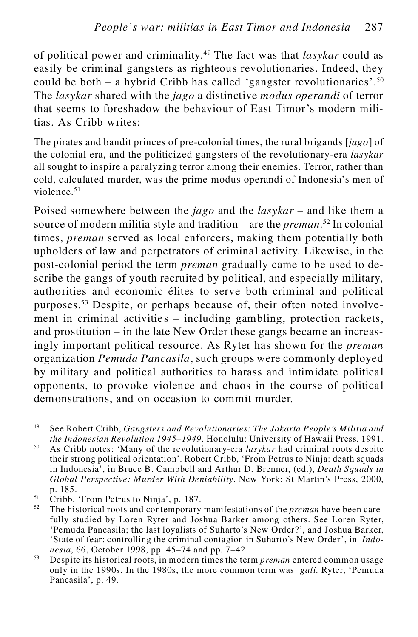of political power and criminality.<sup>49</sup> The fact was that *lasykar* could as easily be criminal gangsters as righteous revolutionaries. Indeed, they could be both – a hybrid Cribb has called 'gangster revolutionaries'.<sup>50</sup> The *lasykar* shared with the *jago* a distinctive *modus operandi* of terror that seems to foreshadow the behaviour of East Timor's modern militias. As Cribb writes:

The pirates and bandit princes of pre-colonial times, the rural brigands [*jago*] of the colonial era, and the politicized gangsters of the revolutionary-era *lasykar* all sought to inspire a paralyzing terror among their enemies. Terror, rather than cold, calculated murder, was the prime modus operandi of Indonesia's men of violence.<sup>51</sup>

Poised somewhere between the *jago* and the *lasykar* – and like them a source of modern militia style and tradition – are the *preman*.<sup>52</sup> In colonial times, *preman* served as local enforcers, making them potentially both upholders of law and perpetrators of criminal activity. Likewise, in the post-colonial period the term *preman* gradually came to be used to describe the gangs of youth recruited by political, and especially military, authorities and economic élites to serve both criminal and political purposes.<sup>53</sup> Despite, or perhaps because of, their often noted involve ment in criminal activities – including gambling, protection rackets, and prostitution – in the late New Order these gangs became an increasingly important political resource. As Ryter has shown for the *preman* organization *Pemuda Pancasila*, such groups were commonly deployed by military and political authorities to harass and intimidate political opponents, to provoke violence and chaos in the course of political demonstrations, and on occasion to commit murder.

- <sup>51</sup> Cribb, 'From Petrus to Ninja', p. 187.<br><sup>52</sup> The historical roots and contemporary.
- <sup>52</sup> The historical roots and contemporary manifestations of the *preman* have been carefully studied by Loren Ryter and Joshua Barker among others. See Loren Ryter, 'Pemuda Pancasila; the last loyalists of Suharto's New Order?', and Joshua Barker, 'State of fear: controlling the criminal contagion in Suharto's New Order', in *Indonesia*, 66, October 1998, pp. 45–74 and pp. 7–42.
- <sup>53</sup> Despite its historical roots, in modern times the term *preman* entered common usage only in the 1990s. In the 1980s, the more common term was *gali*. Ryter, 'Pemuda Pancasila', p. 49.

<sup>49</sup> See Robert Cribb, *Gangsters and Revolutionaries: The Jakarta People's Militia and the Indonesian Revolution 1945–1949*. Honolulu: University of Hawaii Press, 1991.

<sup>50</sup> As Cribb notes: 'Many of the revolutionary-era *lasykar* had criminal roots despite their strong political orientation'. Robert Cribb, 'From Petrus to Ninja: death squads in Indonesia', in Bruce B. Campbell and Arthur D. Brenner, (ed.), *Death Squads in Global Perspective: Murder With Deniability*. New York: St Martin's Press, 2000, p. 185.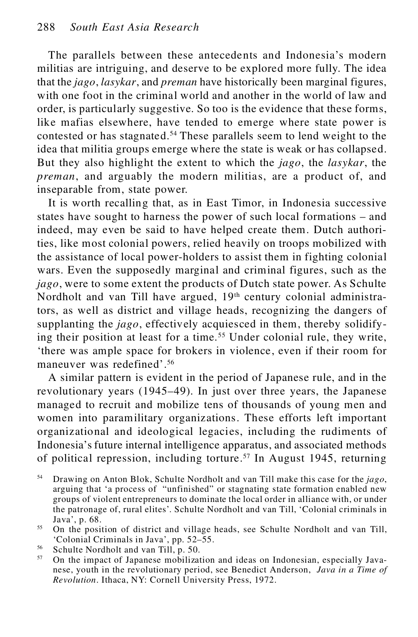The parallels between these antecedents and Indonesia's modern militias are intriguing, and deserve to be explored more fully. The idea that the *jago*, *lasykar*, and *preman* have historically been marginal figures, with one foot in the criminal world and another in the world of law and order, is particularly suggestive. So too is the evidence that these forms, like mafias elsewhere, have tended to emerge where state power is contested or has stagnated.<sup>54</sup> These parallels seem to lend weight to the idea that militia groups emerge where the state is weak or has collapsed. But they also highlight the extent to which the *jago*, the *lasykar*, the *preman*, and arguably the modern militias, are a product of, and inseparable from, state power.

It is worth recalling that, as in East Timor, in Indonesia successive states have sought to harness the power of such local formations – and indeed, may even be said to have helped create them. Dutch authorities, like most colonial powers, relied heavily on troops mobilized with the assistance of local power-holders to assist them in fighting colonial wars. Even the supposedly marginal and criminal figures, such as the *jago*, were to some extent the products of Dutch state power. As Schulte Nordholt and van Till have argued,  $19<sup>th</sup>$  century colonial administrators, as well as district and village heads, recognizing the dangers of supplanting the *jago*, effectively acquiesced in them, thereby solidifying their position at least for a time.<sup>55</sup> Under colonial rule, they write, 'there was ample space for brokers in violence, even if their room for maneuver was redefined'.<sup>56</sup>

A similar pattern is evident in the period of Japanese rule, and in the revolutionary years (1945–49). In just over three years, the Japanese managed to recruit and mobilize tens of thousands of young men and women into paramilitary organizations. These efforts left important organizational and ideological legacies, including the rudiments of Indonesia's future internal intelligence apparatus, and associated methods of political repression, including torture.<sup>57</sup> In August 1945, returning

<sup>54</sup> Drawing on Anton Blok, Schulte Nordholt and van Till make this case for the *jago*, arguing that 'a process of "unfinished" or stagnating state formation enabled new groups of violent entrepreneurs to dominate the local order in alliance with, or under the patronage of, rural elites'. Schulte Nordholt and van Till, 'Colonial criminals in Java', p. 68.

<sup>&</sup>lt;sup>55</sup> On the position of district and village heads, see Schulte Nordholt and van Till, 'Colonial Criminals in Java', pp. 52–55.

<sup>&</sup>lt;sup>56</sup> Schulte Nordholt and van Till, p. 50.

<sup>57</sup> On the impact of Japanese mobilization and ideas on Indonesian, especially Javanese, youth in the revolutionary period, see Benedict Anderson, *Java in a Time of Revolution*. Ithaca, NY: Cornell University Press, 1972.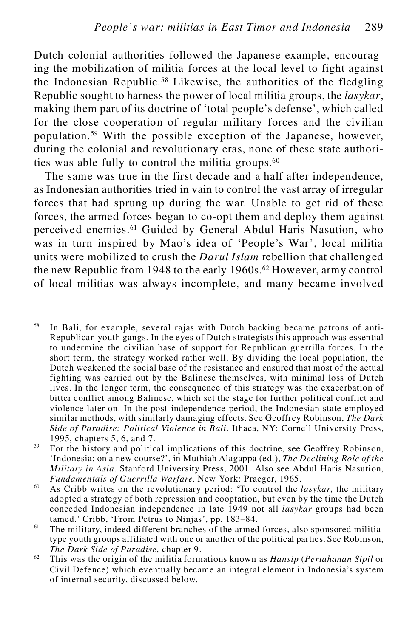Dutch colonial authorities followed the Japanese example, encouraging the mobilization of militia forces at the local level to fight against the Indonesian Republic.<sup>58</sup> Likewise, the authorities of the fledgling Republic sought to harness the power of local militia groups, the *lasykar*, making them part of its doctrine of 'total people's defense', which called for the close cooperation of regular military forces and the civilian population.<sup>59</sup> With the possible exception of the Japanese, however, during the colonial and revolutionary eras, none of these state authorities was able fully to control the militia groups. $60$ 

The same was true in the first decade and a half after independence, as Indonesian authorities tried in vain to control the vast array of irregular forces that had sprung up during the war. Unable to get rid of these forces, the armed forces began to co-opt them and deploy them against perceived enemies.<sup>61</sup> Guided by General Abdul Haris Nasution, who was in turn inspired by Mao's idea of 'People's War', local militia units were mobilized to crush the *Darul Islam* rebellion that challenged the new Republic from 1948 to the early 1960s.<sup>62</sup> However, army control of local militias was always incomplete, and many became involved

- <sup>58</sup> In Bali, for example, several rajas with Dutch backing became patrons of anti-Republican youth gangs. In the eyes of Dutch strategists this approach was essential to undermine the civilian base of support for Republican guerrilla forces. In the short term, the strategy worked rather well. By dividing the local population, the Dutch weakened the social base of the resistance and ensured that most of the actual fighting was carried out by the Balinese themselves, with minimal loss of Dutch lives. In the longer term, the consequence of this strategy was the exacerbation of bitter conflict among Balinese, which set the stage for further political conflict and violence later on. In the post-independence period, the Indonesian state employed similar methods, with similarly damaging effects. See Geoffrey Robinson, *The Dark Side of Paradise: Political Violence in Bali*. Ithaca, NY: Cornell University Press, 1995, chapters 5, 6, and 7.
- <sup>59</sup> For the history and political implications of this doctrine, see Geoffrey Robinson, 'Indonesia: on a new course?', in Muthiah Alagappa (ed.), *The Declining Role of the Military in Asia*. Stanford University Press, 2001. Also see Abdul Haris Nasution, *Fundamentals of Guerrilla Warfare*. New York: Praeger, 1965.
- <sup>60</sup> As Cribb writes on the revolutionary period: 'To control the *lasykar*, the military adopted a strategy of both repression and cooptation, but even by the time the Dutch conceded Indonesian independence in late 1949 not all *lasykar* groups had been tamed.' Cribb, 'From Petrus to Ninjas', pp. 183–84.
- $61$  The military, indeed different branches of the armed forces, also sponsored militiatype youth groups affiliated with one or another of the political parties. See Robinson, *The Dark Side of Paradise*, chapter 9.
- <sup>62</sup> This was the origin of the militia formations known as *Hansip* (*Pertahanan Sipil* or Civil Defence) which eventually became an integral element in Indonesia's system of internal security, discussed below.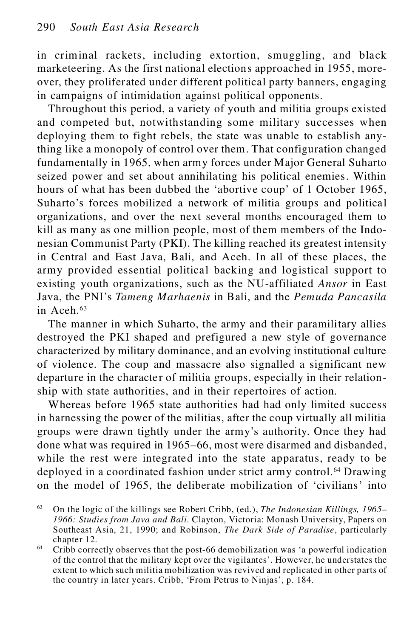in criminal rackets, including extortion, smuggling, and black marketeering. As the first national elections approached in 1955, moreover, they proliferated under different political party banners, engaging in campaigns of intimidation against political opponents.

Throughout this period, a variety of youth and militia groups existed and competed but, notwithstanding some military successes when deploying them to fight rebels, the state was unable to establish anything like a monopoly of control over them. That configuration changed fundamentally in 1965, when army forces under Major General Suharto seized power and set about annihilating his political enemies. Within hours of what has been dubbed the 'abortive coup' of 1 October 1965, Suharto's forces mobilized a network of militia groups and political organizations, and over the next several months encouraged them to kill as many as one million people, most of them members of the Indonesian Communist Party (PKI). The killing reached its greatest intensity in Central and East Java, Bali, and Aceh. In all of these places, the army provided essential political backing and logistical support to existing youth organizations, such as the NU-affiliated *Ansor* in East Java, the PNI's *Tameng Marhaenis* in Bali, and the *Pemuda Pancasila* in Aceh $63$ 

The manner in which Suharto, the army and their paramilitary allies destroyed the PKI shaped and prefigured a new style of governance characterized by military dominance, and an evolving institutional culture of violence. The coup and massacre also signalled a significant new departure in the character of militia groups, especially in their relation ship with state authorities, and in their repertoires of action.

Whereas before 1965 state authorities had had only limited success in harnessing the power of the militias, after the coup virtually all militia groups were drawn tightly under the army's authority. Once they had done what was required in 1965–66, most were disarmed and disbanded, while the rest were integrated into the state apparatus, ready to be deployed in a coordinated fashion under strict army control.<sup>64</sup> Drawing on the model of 1965, the deliberate mobilization of 'civilians' into

<sup>63</sup> On the logic of the killings see Robert Cribb, (ed.), *The Indonesian Killings, 1965– 1966: Studies from Java and Bali*. Clayton, Victoria: Monash University, Papers on Southeast Asia, 21, 1990; and Robinson, *The Dark Side of Paradise*, particularly chapter 12.

 $64$  Cribb correctly observes that the post-66 demobilization was 'a powerful indication of the control that the military kept over the vigilantes'. However, he understates the extent to which such militia mobilization was revived and replicated in other parts of the country in later years. Cribb, 'From Petrus to Ninjas', p. 184.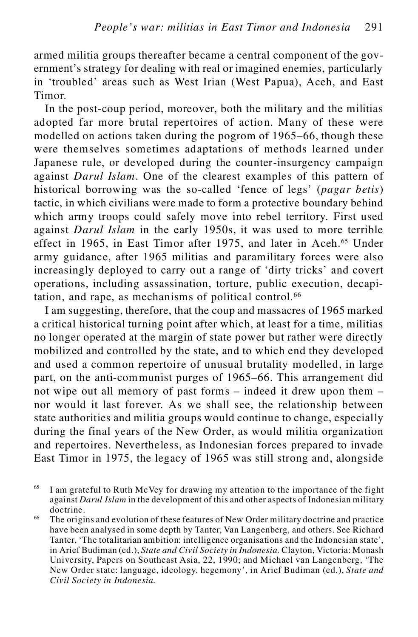armed militia groups thereafter became a central component of the government's strategy for dealing with real or imagined enemies, particularly in 'troubled' areas such as West Irian (West Papua), Aceh, and East Timor.

In the post-coup period, moreover, both the military and the militias adopted far more brutal repertoires of action. Many of these were modelled on actions taken during the pogrom of 1965–66, though these were themselves sometimes adaptations of methods learned under Japanese rule, or developed during the counter-insurgency campaign against *Darul Islam*. One of the clearest examples of this pattern of historical borrowing was the so-called 'fence of legs' (*pagar betis*) tactic, in which civilians were made to form a protective boundary behind which army troops could safely move into rebel territory. First used against *Darul Islam* in the early 1950s, it was used to more terrible effect in 1965, in East Timor after 1975, and later in Aceh.<sup>65</sup> Under army guidance, after 1965 militias and paramilitary forces were also increasingly deployed to carry out a range of 'dirty tricks' and covert operations, including assassination, torture, public execution, decapitation, and rape, as mechanisms of political control.<sup>66</sup>

I am suggesting, therefore, that the coup and massacres of 1965 marked a critical historical turning point after which, at least for a time, militias no longer operated at the margin of state power but rather were directly mobilized and controlled by the state, and to which end they developed and used a common repertoire of unusual brutality modelled, in large part, on the anti-communist purges of 1965–66. This arrangement did not wipe out all memory of past forms – indeed it drew upon them – nor would it last forever. As we shall see, the relationship between state authorities and militia groups would continue to change, especially during the final years of the New Order, as would militia organization and repertoires. Nevertheless, as Indonesian forces prepared to invade East Timor in 1975, the legacy of 1965 was still strong and, alongside

 $<sup>65</sup>$  I am grateful to Ruth McVey for drawing my attention to the importance of the fight</sup> against *Darul Islam* in the development of this and other aspects of Indonesian military doctrine.

<sup>&</sup>lt;sup>66</sup> The origins and evolution of these features of New Order military doctrine and practice have been analysed in some depth by Tanter, Van Langenberg, and others. See Richard Tanter, 'The totalitarian ambition: intelligence organisations and the Indonesian state', in Arief Budiman (ed.), *State and Civil Society in Indonesia.* Clayton, Victoria: Monash University, Papers on Southeast Asia, 22, 1990; and Michael van Langenberg, 'The New Order state: language, ideology, hegemony', in Arief Budiman (ed.), *State and Civil Society in Indonesia.*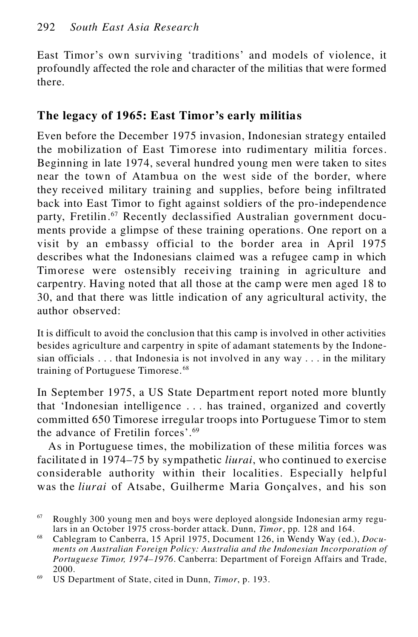East Timor's own surviving 'traditions' and models of violence, it profoundly affected the role and character of the militias that were formed there.

### **The legacy of 1965: East Timor's early militias**

Even before the December 1975 invasion, Indonesian strategy entailed the mobilization of East Timorese into rudimentary militia forces. Beginning in late 1974, several hundred young men were taken to sites near the town of Atambua on the west side of the border, where they received military training and supplies, before being infiltrated back into East Timor to fight against soldiers of the pro-independence party, Fretilin.<sup>67</sup> Recently declassified Australian government documents provide a glimpse of these training operations. One report on a visit by an embassy official to the border area in April 1975 describes what the Indonesians claimed was a refugee camp in which Timorese were ostensibly receiving training in agriculture and carpentry. Having noted that all those at the camp were men aged 18 to 30, and that there was little indication of any agricultural activity, the author observed:

It is difficult to avoid the conclusion that this camp is involved in other activities besides agriculture and carpentry in spite of adamant statements by the Indonesian officials . . . that Indonesia is not involved in any way . . . in the military training of Portuguese Timorese. <sup>68</sup>

In September 1975, a US State Department report noted more bluntly that 'Indonesian intelligence . . . has trained, organized and covertly committed 650 Timorese irregular troops into Portuguese Timor to stem the advance of Fretilin forces'.<sup>69</sup>

As in Portuguese times, the mobilization of these militia forces was facilitate d in 1974–75 by sympathetic *liurai*, who continued to exercise considerable authority within their localities. Especially helpful was the *liurai* of Atsabe, Guilherme Maria Gonçalves, and his son

 $67$  Roughly 300 young men and boys were deployed alongside Indonesian army regulars in an October 1975 cross-border attack. Dunn, *Timor*, pp. 128 and 164.

<sup>68</sup> Cablegram to Canberra, 15 April 1975, Document 126, in Wendy Way (ed.), *Documents on Australian Foreign Policy: Australia and the Indonesian Incorporation of Portuguese Timor, 1974–1976*. Canberra: Department of Foreign Affairs and Trade, 2000.

<sup>69</sup> US Department of State, cited in Dunn, *Timor*, p. 193.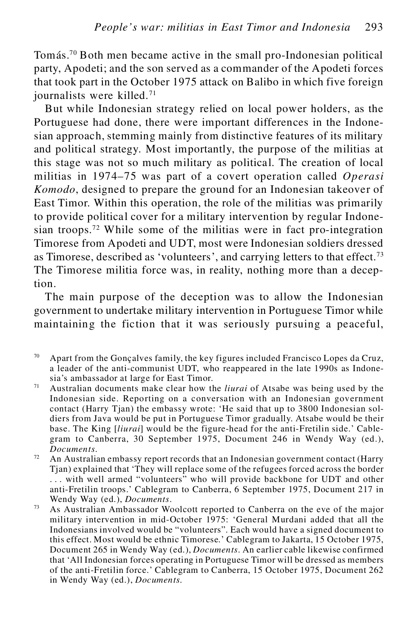Tomás.<sup>70</sup> Both men became active in the small pro-Indonesian political party, Apodeti; and the son served as a commander of the Apodeti forces that took part in the October 1975 attack on Balibo in which five foreign journalists were killed.<sup>71</sup>

But while Indonesian strategy relied on local power holders, as the Portuguese had done, there were important differences in the Indone sian approach, stemming mainly from distinctive features of its military and political strategy. Most importantly, the purpose of the militias at this stage was not so much military as political. The creation of local militias in 1974–75 was part of a covert operation called *Operasi Komodo*, designed to prepare the ground for an Indonesian takeover of East Timor. Within this operation, the role of the militias was primarily to provide political cover for a military intervention by regular Indone sian troops.<sup>72</sup> While some of the militias were in fact pro-integration Timorese from Apodeti and UDT, most were Indonesian soldiers dressed as Timorese, described as 'volunteers', and carrying letters to that effect.<sup>73</sup> The Timorese militia force was, in reality, nothing more than a deception.

The main purpose of the deception was to allow the Indonesian government to undertake military intervention in Portuguese Timor while maintaining the fiction that it was seriously pursuing a peaceful,

- $70$  Apart from the Gonçalves family, the key figures included Francisco Lopes da Cruz, a leader of the anti-communist UDT, who reappeared in the late 1990s as Indonesia's ambassador at large for East Timor.
- <sup>71</sup> Australian documents make clear how the *liurai* of Atsabe was being used by the Indonesian side. Reporting on a conversation with an Indonesian government contact (Harry Tjan) the embassy wrote: 'He said that up to 3800 Indonesian soldiers from Java would be put in Portuguese Timor gradually. Atsabe would be their base. The King [*liurai*] would be the figure-head for the anti-Fretilin side.' Cablegram to Canberra, 30 September 1975, Document 246 in Wendy Way (ed.), *Documents.*
- $72$  An Australian embassy report records that an Indonesian government contact (Harry Tjan) explained that 'They will replace some of the refugees forced across the border ... with well armed "volunteers" who will provide backbone for UDT and other anti-Fretilin troops.' Cablegram to Canberra, 6 September 1975, Document 217 in Wendy Way (ed.), *Documents*.
- $73$  As Australian Ambassador Woolcott reported to Canberra on the eve of the major military intervention in mid-October 1975: 'General Murdani added that all the Indonesians involved would be "volunteers". Each would have a signed document to this effect. Most would be ethnic Timorese.' Cablegram to Jakarta, 15 October 1975, Document 265 in Wendy Way (ed.), *Documents*. An earlier cable likewise confirmed that 'All Indonesian forces operating in Portuguese Timor will be dressed as members of the anti-Fretilin force.' Cablegram to Canberra, 15 October 1975, Document 262 in Wendy Way (ed.), *Documents.*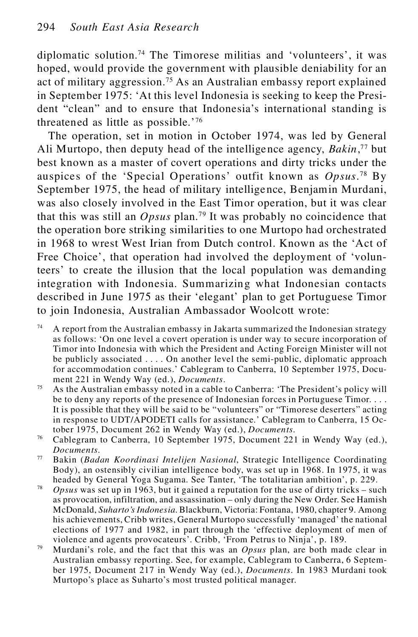diplomatic solution.<sup>74</sup> The Timorese militias and 'volunteers', it was hoped, would provide the government with plausible deniability for an act of military aggression.<sup>75</sup> As an Australian embassy report explained in September 1975: 'At this level Indonesia is seeking to keep the President "clean" and to ensure that Indonesia's international standing is threatened as little as possible.'<sup>76</sup>

The operation, set in motion in October 1974, was led by General Ali Murtopo, then deputy head of the intelligence agency, *Bakin*<sup>77</sup> but best known as a master of covert operations and dirty tricks under the auspices of the 'Special Operations' outfit known as *Opsus*.<sup>78</sup> By September 1975, the head of military intelligence, Benjamin Murdani, was also closely involved in the East Timor operation, but it was clear that this was still an *Opsus* plan.<sup>79</sup> It was probably no coincidence that the operation bore striking similarities to one Murtopo had orchestrated in 1968 to wrest West Irian from Dutch control. Known as the 'Act of Free Choice', that operation had involved the deployment of 'volunteers' to create the illusion that the local population was demanding integration with Indonesia. Summarizing what Indonesian contacts described in June 1975 as their 'elegant' plan to get Portuguese Timor to join Indonesia, Australian Ambassador Woolcott wrote:

- $74$  A report from the Australian embassy in Jakarta summarized the Indonesian strategy as follows: 'On one level a covert operation is under way to secure incorporation of Timor into Indonesia with which the President and Acting Foreign Minister will not be publicly associated . . . . On another level the semi-public, diplomatic approach for accommodation continues.' Cablegram to Canberra, 10 September 1975, Document 221 in Wendy Way (ed.), *Documents*.
- $75$  As the Australian embassy noted in a cable to Canberra: 'The President's policy will be to deny any reports of the presence of Indonesian forces in Portuguese Timor. . . . It is possible that they will be said to be "volunteers" or "Timorese deserters" acting in response to UDT/APODETI calls for assistance.' Cablegram to Canberra, 15 October 1975, Document 262 in Wendy Way (ed.), *Documents.*
- <sup>76</sup> Cablegram to Canberra, 10 September 1975, Document 221 in Wendy Way (ed.), *Documents.*
- <sup>77</sup> Bakin (*Badan Koordinasi Intelijen Nasional*, Strategic Intelligence Coordinating Body), an ostensibly civilian intelligence body, was set up in 1968. In 1975, it was headed by General Yoga Sugama. See Tanter, 'The totalitarian ambition', p. 229.
- <sup>78</sup> *Opsus* was set up in 1963, but it gained a reputation for the use of dirty tricks such as provocation, infiltration, and assassination – only during the New Order. See Hamish McDonald, *Suharto's Indonesia*. Blackburn, Victoria: Fontana, 1980, chapter 9. Among his achievements, Cribb writes, General Murtopo successfully 'managed' the national elections of 1977 and 1982, in part through the 'effective deployment of men of violence and agents provocateurs'. Cribb, 'From Petrus to Ninja', p. 189.
- <sup>79</sup> Murdani's role, and the fact that this was an *Opsus* plan, are both made clear in Australian embassy reporting. See, for example, Cablegram to Canberra, 6 September 1975, Document 217 in Wendy Way (ed.), *Documents*. In 1983 Murdani took Murtopo's place as Suharto's most trusted political manager.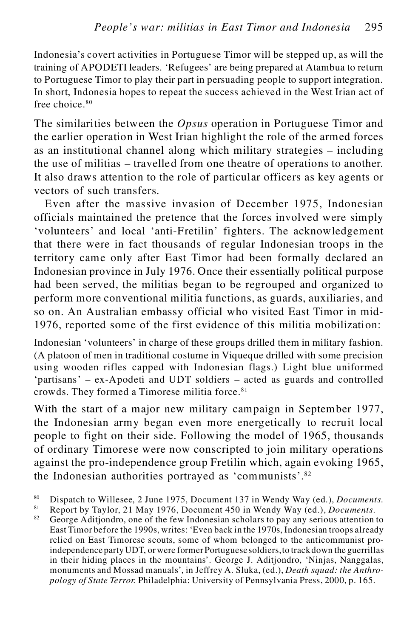Indonesia's covert activities in Portuguese Timor will be stepped up, as will the training of APODETI leaders. 'Refugees' are being prepared at Atambua to return to Portuguese Timor to play their part in persuading people to support integration. In short, Indonesia hopes to repeat the success achieved in the West Irian act of free choice.<sup>80</sup>

The similarities between the *Opsus* operation in Portuguese Timor and the earlier operation in West Irian highlight the role of the armed forces as an institutional channel along which military strategies – including the use of militias – travelled from one theatre of operations to another. It also draws attention to the role of particular officers as key agents or vectors of such transfers.

Even after the massive invasion of December 1975, Indonesian officials maintained the pretence that the forces involved were simply 'volunteers' and local 'anti-Fretilin' fighters. The acknowledgement that there were in fact thousands of regular Indonesian troops in the territory came only after East Timor had been formally declared an Indonesian province in July 1976. Once their essentially political purpose had been served, the militias began to be regrouped and organized to perform more conventional militia functions, as guards, auxiliaries, and so on. An Australian embassy official who visited East Timor in mid-1976, reported some of the first evidence of this militia mobilization:

Indonesian 'volunteers' in charge of these groups drilled them in military fashion. (A platoon of men in traditional costume in Viqueque drilled with some precision using wooden rifles capped with Indonesian flags.) Light blue uniformed 'partisans' – ex-Apodeti and UDT soldiers – acted as guards and controlled crowds. They formed a Timorese militia force.<sup>81</sup>

With the start of a major new military campaign in September 1977, the Indonesian army began even more energetically to recruit local people to fight on their side. Following the model of 1965, thousands of ordinary Timorese were now conscripted to join military operations against the pro-independence group Fretilin which, again evoking 1965, the Indonesian authorities portrayed as 'communists'.<sup>82</sup>

<sup>82</sup> George Aditjondro, one of the few Indonesian scholars to pay any serious attention to East Timor before the 1990s, writes: 'Even back in the 1970s, Indonesian troops already relied on East Timorese scouts, some of whom belonged to the anticommunist proindependence party UDT, or were former Portuguese soldiers, to track down the guerrillas in their hiding places in the mountains'. George J. Aditjondro, 'Ninjas, Nanggalas, monuments and Mossad manuals', in Jeffrey A. Sluka, (ed.), *Death squad: the Anthropology of State Terror.* Philadelphia: University of Pennsylvania Press, 2000, p. 165.

<sup>80</sup> Dispatch to Willesee, 2 June 1975, Document 137 in Wendy Way (ed.), *Documents.*

<sup>&</sup>lt;sup>81</sup> Report by Taylor, 21 May 1976, Document 450 in Wendy Way (ed.), *Documents*.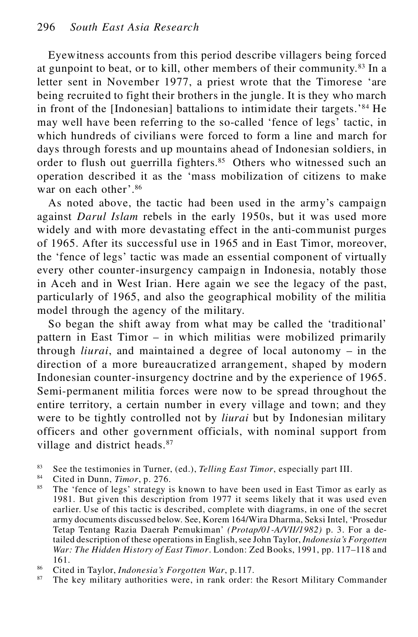Eyewitness accounts from this period describe villagers being forced at gunpoint to beat, or to kill, other members of their community.<sup>83</sup> In a letter sent in November 1977, a priest wrote that the Timorese 'are being recruited to fight their brothers in the jungle. It is they who march in front of the [Indonesian] battalions to intimidate their targets.' <sup>84</sup> He may well have been referring to the so-called 'fence of legs' tactic, in which hundreds of civilians were forced to form a line and march for days through forests and up mountains ahead of Indonesian soldiers, in order to flush out guerrilla fighters.<sup>85</sup> Others who witnessed such an operation described it as the 'mass mobilization of citizens to make war on each other'. 86

As noted above, the tactic had been used in the army's campaign against *Darul Islam* rebels in the early 1950s, but it was used more widely and with more devastating effect in the anti-communist purges of 1965. After its successful use in 1965 and in East Timor, moreover, the 'fence of legs' tactic was made an essential component of virtually every other counter-insurgency campaign in Indonesia, notably those in Aceh and in West Irian. Here again we see the legacy of the past, particularly of 1965, and also the geographical mobility of the militia model through the agency of the military.

So began the shift away from what may be called the 'traditional' pattern in East Timor – in which militias were mobilized primarily through *liurai*, and maintained a degree of local autonomy – in the direction of a more bureaucratized arrangement, shaped by modern Indonesian counter-insurgency doctrine and by the experience of 1965. Semi-permanent militia forces were now to be spread throughout the entire territory, a certain number in every village and town; and they were to be tightly controlled not by *liurai* but by Indonesian military officers and other government officials, with nominal support from village and district heads.<sup>87</sup>

<sup>84</sup> Cited in Dunn, *Timor*, p. 276.

The 'fence of legs' strategy is known to have been used in East Timor as early as 1981. But given this description from 1977 it seems likely that it was used even earlier. Use of this tactic is described, complete with diagrams, in one of the secret army documents discussed below. See, Korem 164/Wira Dharma, Seksi Intel, 'Prosedur Tetap Tentang Razia Daerah Pemukiman' *(Protap/01-A/VII/1982)* p. 3. For a detailed description of these operations in English, see John Taylor, *Indonesia's Forgotten War: The Hidden History of East Timor*. London: Zed Books, 1991, pp. 117–118 and 161.

<sup>&</sup>lt;sup>83</sup> See the testimonies in Turner, (ed.), *Telling East Timor*, especially part III.<br><sup>84</sup> Cited in Dunn, *Timor, p.* 276

<sup>86</sup> Cited in Taylor, *Indonesia's Forgotten War*, p.117.

The key military authorities were, in rank order: the Resort Military Commander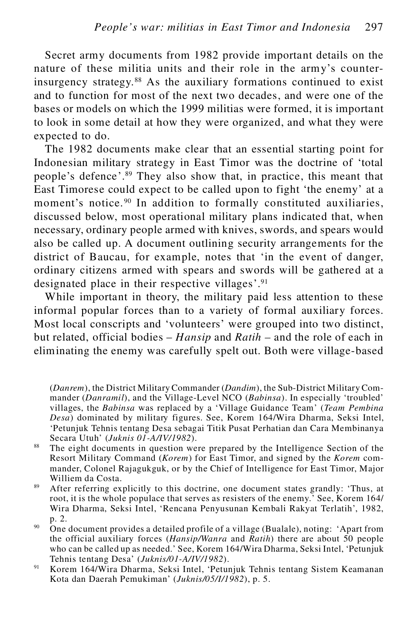Secret army documents from 1982 provide important details on the nature of these militia units and their role in the army's counterinsurgency strategy.<sup>88</sup> As the auxiliary formations continued to exist and to function for most of the next two decades, and were one of the bases or models on which the 1999 militias were formed, it is important to look in some detail at how they were organized, and what they were expected to do.

The 1982 documents make clear that an essential starting point for Indonesian military strategy in East Timor was the doctrine of 'total people's defence'.<sup>89</sup> They also show that, in practice, this meant that East Timorese could expect to be called upon to fight 'the enemy' at a moment's notice.<sup>90</sup> In addition to formally constituted auxiliaries, discussed below, most operational military plans indicated that, when necessary, ordinary people armed with knives, swords, and spears would also be called up. A document outlining security arrangements for the district of Baucau, for example, notes that 'in the event of danger, ordinary citizens armed with spears and swords will be gathered at a designated place in their respective villages'.<sup>91</sup>

While important in theory, the military paid less attention to these informal popular forces than to a variety of formal auxiliary forces. Most local conscripts and 'volunteers' were grouped into two distinct, but related, official bodies – *Hansip* and *Ratih –* and the role of each in eliminating the enemy was carefully spelt out. Both were village-based

- <sup>88</sup> The eight documents in question were prepared by the Intelligence Section of the Resort Military Command (*Korem*) for East Timor, and signed by the *Korem* com mander, Colonel Rajagukguk, or by the Chief of Intelligence for East Timor, Major Williem da Costa.
- <sup>89</sup> After referring explicitly to this doctrine, one document states grandly: 'Thus, at root, it is the whole populace that serves as resisters of the enemy.' See, Korem 164/ Wira Dharma, Seksi Intel, 'Rencana Penyusunan Kembali Rakyat Terlatih', 1982, p. 2.
- <sup>90</sup> One document provides a detailed profile of a village (Bualale), noting: 'Apart from the official auxiliary forces (*Hansip/Wanra* and *Ratih*) there are about 50 people who can be called up as needed.' See, Korem 164/Wira Dharma, Seksi Intel, 'Petunjuk Tehnis tentang Desa' (*Juknis/01-A/IV/1982*).
- <sup>91</sup> Korem 164/Wira Dharma, Seksi Intel, 'Petunjuk Tehnis tentang Sistem Keamanan Kota dan Daerah Pemukiman' (*Juknis/05/I/1982*), p. 5.

<sup>(</sup>*Danrem*), the District Military Commander (*Dandim*), the Sub-District Military Commander (*Danramil*), and the Village-Level NCO (*Babinsa*). In especially 'troubled' villages, the *Babinsa* was replaced by a 'Village Guidance Team' (*Team Pembina Desa*) dominated by military figures. See, Korem 164/Wira Dharma, Seksi Intel, 'Petunjuk Tehnis tentang Desa sebagai Titik Pusat Perhatian dan Cara Membinanya Secara Utuh' (*Juknis 01-A/IV/1982*).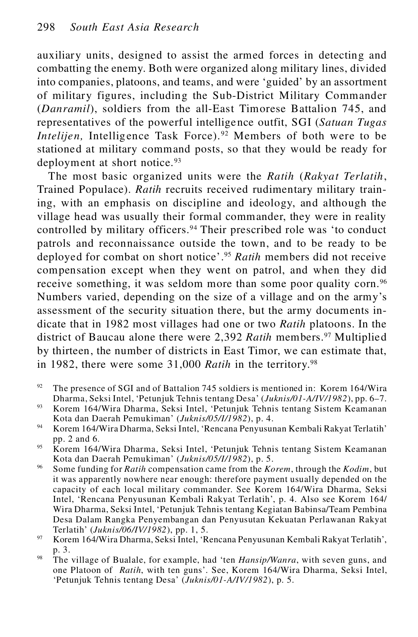auxiliary units, designed to assist the armed forces in detecting and combatting the enemy. Both were organized along military lines, divided into companies, platoons, and teams, and were 'guided' by an assortment of military figures, including the Sub-District Military Commander (*Danramil*), soldiers from the all-East Timorese Battalion 745, and representatives of the powerful intelligence outfit, SGI (*Satuan Tugas Intelijen, Intelligence Task Force*).<sup>92</sup> Members of both were to be stationed at military command posts, so that they would be ready for deployment at short notice.<sup>93</sup>

The most basic organized units were the *Ratih* (*Rakyat Terlatih*, Trained Populace). *Ratih* recruits received rudimentary military training, with an emphasis on discipline and ideology, and although the village head was usually their formal commander, they were in reality controlled by military officers.<sup>94</sup> Their prescribed role was 'to conduct patrols and reconnaissance outside the town, and to be ready to be deployed for combat on short notice'.<sup>95</sup> *Ratih* members did not receive compensation except when they went on patrol, and when they did receive something, it was seldom more than some poor quality corn.<sup>96</sup> Numbers varied, depending on the size of a village and on the army's assessment of the security situation there, but the army documents indicate that in 1982 most villages had one or two *Ratih* platoons. In the district of Baucau alone there were 2,392 *Ratih* members.<sup>97</sup> Multiplied by thirteen, the number of districts in East Timor, we can estimate that, in 1982, there were some 31,000 *Ratih* in the territory.<sup>98</sup>

- <sup>92</sup> The presence of SGI and of Battalion 745 soldiers is mentioned in: Korem 164/Wira Dharma, Seksi Intel, 'Petunjuk Tehnis tentang Desa' (*Juknis/01-A/IV/1982*), pp. 6–7.
- <sup>93</sup> Korem 164/Wira Dharma, Seksi Intel, 'Petunjuk Tehnis tentang Sistem Keamanan Kota dan Daerah Pemukiman' (*Juknis/05/I/1982*), p. 4.
- <sup>94</sup> Korem 164/Wira Dharma, Seksi Intel, 'Rencana Penyusunan Kembali Rakyat Terlatih' pp. 2 and 6.
- <sup>95</sup> Korem 164/Wira Dharma, Seksi Intel, 'Petunjuk Tehnis tentang Sistem Keamanan Kota dan Daerah Pemukiman' (*Juknis/05/I/1982*), p. 5.
- <sup>96</sup> Some funding for *Ratih* compensation came from the *Korem*, through the *Kodim*, but it was apparently nowhere near enough: therefore payment usually depended on the capacity of each local military commander. See Korem 164/Wira Dharma, Seksi Intel, 'Rencana Penyusunan Kembali Rakyat Terlatih', p. 4. Also see Korem 164/ Wira Dharma, Seksi Intel, 'Petunjuk Tehnis tentang Kegiatan Babinsa/Team Pembina Desa Dalam Rangka Penyembangan dan Penyusutan Kekuatan Perlawanan Rakyat Terlatih' (*Juknis/06/IV/1982*), pp. 1, 5.
- <sup>97</sup> Korem 164/Wira Dharma, Seksi Intel, 'Rencana Penyusunan Kembali Rakyat Terlatih', p. 3.
- <sup>98</sup> The village of Bualale, for example, had 'ten *Hansip/Wanra*, with seven guns, and one Platoon of *Ratih*, with ten guns'. See, Korem 164/Wira Dharma, Seksi Intel, 'Petunjuk Tehnis tentang Desa' (*Juknis/01-A/IV/1982*), p. 5.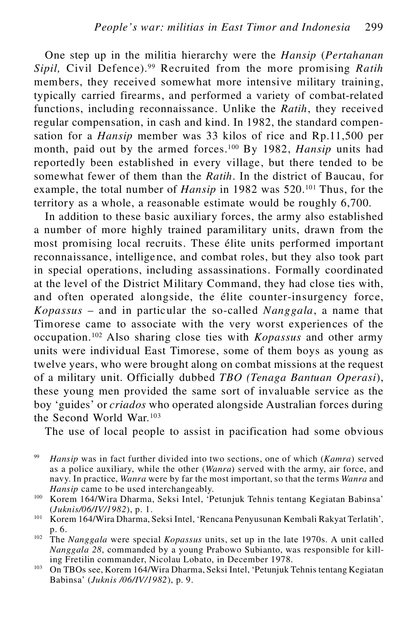One step up in the militia hierarchy were the *Hansip* (*Pertahanan Sipil,* Civil Defence).<sup>99</sup> Recruited from the more promising *Ratih* members, they received somewhat more intensive military training, typically carried firearms, and performed a variety of combat-related functions, including reconnaissance. Unlike the *Ratih*, they received regular compensation, in cash and kind. In 1982, the standard compensation for a *Hansip* member was 33 kilos of rice and Rp.11,500 per month, paid out by the armed forces.<sup>100</sup> By 1982, *Hansip* units had reportedly been established in every village, but there tended to be somewhat fewer of them than the *Ratih*. In the district of Baucau, for example, the total number of *Hansip* in 1982 was 520.<sup>101</sup> Thus, for the territory as a whole, a reasonable estimate would be roughly 6,700.

In addition to these basic auxiliary forces, the army also established a number of more highly trained paramilitary units, drawn from the most promising local recruits. These élite units performed important reconnaissance, intelligence, and combat roles, but they also took part in special operations, including assassinations. Formally coordinated at the level of the District Military Command, they had close ties with, and often operated alongside, the élite counter-insurgency force, *Kopassus* – and in particular the so-called *Nanggala*, a name that Timorese came to associate with the very worst experiences of the occupation.<sup>102</sup> Also sharing close ties with *Kopassus* and other army units were individual East Timorese, some of them boys as young as twelve years, who were brought along on combat missions at the request of a military unit. Officially dubbed *TBO (Tenaga Bantuan Operasi*), these young men provided the same sort of invaluable service as the boy 'guides' or *criados* who operated alongside Australian forces during the Second World War.<sup>103</sup>

The use of local people to assist in pacification had some obvious

- <sup>100</sup> Korem 164/Wira Dharma, Seksi Intel, 'Petunjuk Tehnis tentang Kegiatan Babinsa' (*Juknis/06/IV/1982*), p. 1.
- <sup>101</sup> Korem 164/Wira Dharma, Seksi Intel, 'Rencana Penyusunan Kembali Rakyat Terlatih', p. 6.
- <sup>102</sup> The *Nanggala* were special *Kopassus* units, set up in the late 1970s. A unit called *Nanggala 28*, commanded by a young Prabowo Subianto, was responsible for killing Fretilin commander, Nicolau Lobato, in December 1978.
- <sup>103</sup> On TBOs see, Korem 164/Wira Dharma, Seksi Intel, 'Petunjuk Tehnis tentang Kegiatan Babinsa' (*Juknis /06/IV/1982*), p. 9.

<sup>99</sup> *Hansip* was in fact further divided into two sections, one of which (*Kamra*) served as a police auxiliary, while the other (*Wanra*) served with the army, air force, and navy. In practice, *Wanra* were by far the most important, so that the terms *Wanra* and *Hansip* came to be used interchangeably.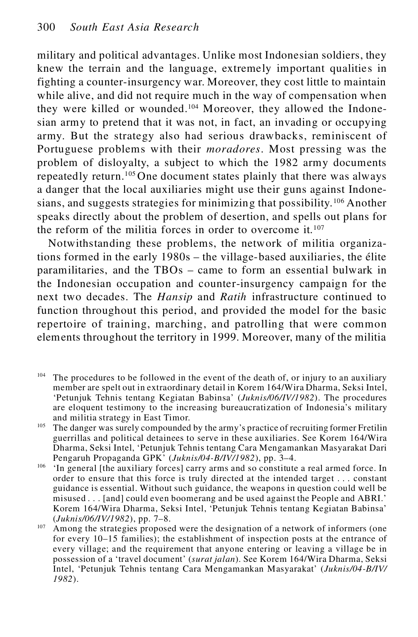military and political advantages. Unlike most Indonesian soldiers, they knew the terrain and the language, extremely important qualities in fighting a counter-insurgency war. Moreover, they cost little to maintain while alive, and did not require much in the way of compensation when they were killed or wounded.<sup>104</sup> Moreover, they allowed the Indonesian army to pretend that it was not, in fact, an invading or occupying army. But the strategy also had serious drawbacks, reminiscent of Portuguese problems with their *moradores*. Most pressing was the problem of disloyalty, a subject to which the 1982 army documents repeatedly return.105 One document states plainly that there was always a danger that the local auxiliaries might use their guns against Indonesians, and suggests strategies for minimizing that possibility.<sup>106</sup> Another speaks directly about the problem of desertion, and spells out plans for the reform of the militia forces in order to overcome it.<sup>107</sup>

Notwithstanding these problems, the network of militia organizations formed in the early 1980s – the village-based auxiliaries, the élite paramilitaries, and the TBOs – came to form an essential bulwark in the Indonesian occupation and counter-insurgency campaign for the next two decades. The *Hansip* and *Ratih* infrastructure continued to function throughout this period, and provided the model for the basic repertoire of training, marching, and patrolling that were common elements throughout the territory in 1999. Moreover, many of the militia

- $104$  The procedures to be followed in the event of the death of, or injury to an auxiliary member are spelt out in extraordinary detail in Korem 164/Wira Dharma, Seksi Intel, 'Petunjuk Tehnis tentang Kegiatan Babinsa' (*Juknis/06/IV/1982*). The procedures are eloquent testimony to the increasing bureaucratization of Indonesia's military and militia strategy in East Timor.
- <sup>105</sup> The danger was surely compounded by the army's practice of recruiting former Fretilin guerrillas and political detainees to serve in these auxiliaries. See Korem 164/Wira Dharma, Seksi Intel, 'Petunjuk Tehnis tentang Cara Mengamankan Masyarakat Dari Pengaruh Propaganda GPK' (*Juknis/04-B/IV/1982*), pp. 3–4.

<sup>106</sup> 'In general [the auxiliary forces] carry arms and so constitute a real armed force. In order to ensure that this force is truly directed at the intended target . . . constant guidance is essential. Without such guidance, the weapons in question could well be misused . . . [and] could even boomerang and be used against the People and ABRI.' Korem 164/Wira Dharma, Seksi Intel, 'Petunjuk Tehnis tentang Kegiatan Babinsa' (*Juknis/06/IV/1982*), pp. 7–8.

<sup>&</sup>lt;sup>107</sup> Among the strategies proposed were the designation of a network of informers (one for every 10–15 families); the establishment of inspection posts at the entrance of every village; and the requirement that anyone entering or leaving a village be in possession of a 'travel document' (*surat jalan*). See Korem 164/Wira Dharma, Seksi Intel, 'Petunjuk Tehnis tentang Cara Mengamankan Masyarakat' (*Juknis/04-B/IV/ 1982*).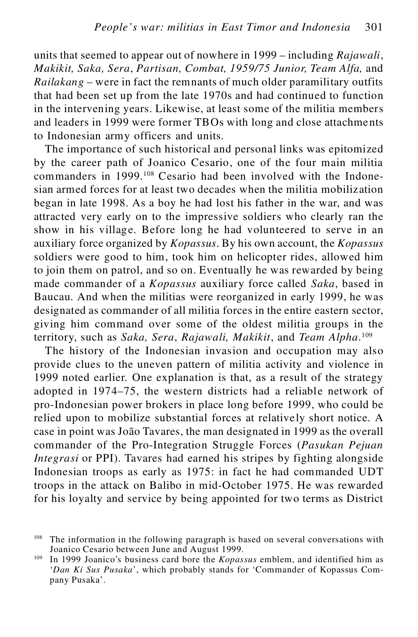units that seemed to appear out of nowhere in 1999 – including *Rajawali*, *Makikit, Saka, Sera*, *Partisan, Combat, 1959/75 Junior, Team Alfa,* and *Railakang* – were in fact the remnants of much older paramilitary outfits that had been set up from the late 1970s and had continued to function in the intervening years. Likewise, at least some of the militia members and leaders in 1999 were former TBOs with long and close attachments to Indonesian army officers and units.

The importance of such historical and personal links was epitomized by the career path of Joanico Cesario, one of the four main militia commanders in 1999.<sup>108</sup> Cesario had been involved with the Indone sian armed forces for at least two decades when the militia mobilization began in late 1998. As a boy he had lost his father in the war, and was attracted very early on to the impressive soldiers who clearly ran the show in his village. Before long he had volunteered to serve in an auxiliary force organized by *Kopassus*. By his own account, the *Kopassus* soldiers were good to him, took him on helicopter rides, allowed him to join them on patrol, and so on. Eventually he was rewarded by being made commander of a *Kopassus* auxiliary force called *Saka*, based in Baucau. And when the militias were reorganized in early 1999, he was designated as commander of all militia forces in the entire eastern sector, giving him command over some of the oldest militia groups in the territory, such as *Saka, Sera*, *Rajawali, Makikit*, and *Team Alpha*.<sup>109</sup>

The history of the Indonesian invasion and occupation may also provide clues to the uneven pattern of militia activity and violence in 1999 noted earlier. One explanation is that, as a result of the strategy adopted in 1974–75, the western districts had a reliable network of pro-Indonesian power brokers in place long before 1999, who could be relied upon to mobilize substantial forces at relatively short notice. A case in point was João Tavares, the man designated in 1999 as the overall commander of the Pro-Integration Struggle Forces (*Pasukan Pejuan Integrasi* or PPI). Tavares had earned his stripes by fighting alongside Indonesian troops as early as 1975: in fact he had commanded UDT troops in the attack on Balibo in mid-October 1975. He was rewarded for his loyalty and service by being appointed for two terms as District

<sup>&</sup>lt;sup>108</sup> The information in the following paragraph is based on several conversations with Joanico Cesario between June and August 1999.

<sup>109</sup> In 1999 Joanico's business card bore the *Kopassus* emblem, and identified him as '*Dan Ki Sus Pusaka*', which probably stands for 'Commander of Kopassus Company Pusaka'.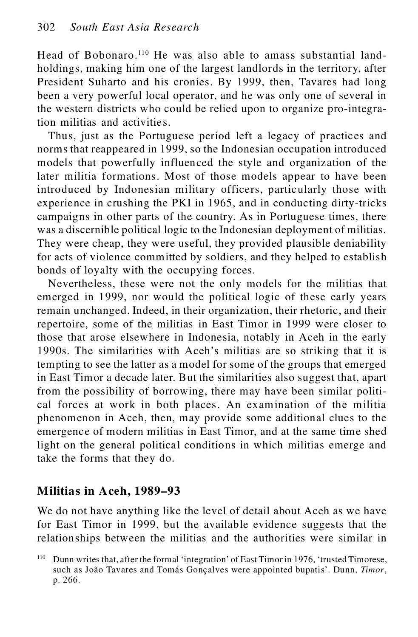Head of Bobonaro.<sup>110</sup> He was also able to amass substantial landholdings, making him one of the largest landlords in the territory, after President Suharto and his cronies. By 1999, then, Tavares had long been a very powerful local operator, and he was only one of several in the western districts who could be relied upon to organize pro-integration militias and activities.

Thus, just as the Portuguese period left a legacy of practices and norms that reappeared in 1999, so the Indonesian occupation introduced models that powerfully influenced the style and organization of the later militia formations. Most of those models appear to have been introduced by Indonesian military officers, particularly those with experience in crushing the PKI in 1965, and in conducting dirty-tricks campaigns in other parts of the country. As in Portuguese times, there was a discernible political logic to the Indonesian deployment of militias. They were cheap, they were useful, they provided plausible deniability for acts of violence committed by soldiers, and they helped to establish bonds of loyalty with the occupying forces.

Nevertheless, these were not the only models for the militias that emerged in 1999, nor would the political logic of these early years remain unchanged. Indeed, in their organization, their rhetoric, and their repertoire, some of the militias in East Timor in 1999 were closer to those that arose elsewhere in Indonesia, notably in Aceh in the early 1990s. The similarities with Aceh's militias are so striking that it is tempting to see the latter as a model for some of the groups that emerged in East Timor a decade later. But the similarities also suggest that, apart from the possibility of borrowing, there may have been similar political forces at work in both places. An examination of the militia phenomenon in Aceh, then, may provide some additional clues to the emergence of modern militias in East Timor, and at the same time shed light on the general political conditions in which militias emerge and take the forms that they do.

#### **Militias in Aceh, 1989–93**

We do not have anything like the level of detail about Aceh as we have for East Timor in 1999, but the available evidence suggests that the relationships between the militias and the authorities were similar in

<sup>110</sup> Dunn writes that, after the formal 'integration' of East Timor in 1976, 'trusted Timorese, such as João Tavares and Tomás Gonçalves were appointed bupatis'. Dunn, *Timor*, p. 266.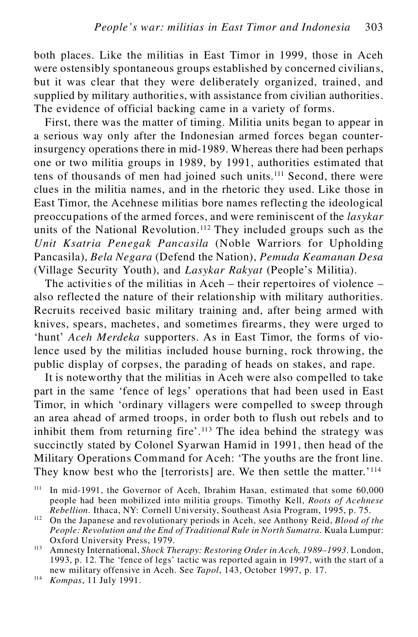both places. Like the militias in East Timor in 1999, those in Aceh were ostensibly spontaneous groups established by concerned civilians, but it was clear that they were deliberately organized, trained, and supplied by military authorities, with assistance from civilian authorities. The evidence of official backing came in a variety of forms.

First, there was the matter of timing. Militia units began to appear in a serious way only after the Indonesian armed forces began counterinsurgency operations there in mid-1989. Whereas there had been perhaps one or two militia groups in 1989, by 1991, authorities estimated that tens of thousands of men had joined such units.<sup>111</sup> Second, there were clues in the militia names, and in the rhetoric they used. Like those in East Timor, the Acehnese militias bore names reflecting the ideological preoccupations of the armed forces, and were reminiscent of the *lasykar* units of the National Revolution.<sup>112</sup> They included groups such as the *Unit Ksatria Penegak Pancasila* (Noble Warriors for Upholding Pancasila), *Bela Negara* (Defend the Nation), *Pemuda Keamanan Desa* (Village Security Youth), and *Lasykar Rakyat* (People's Militia).

The activities of the militias in Aceh – their repertoires of violence – also reflected the nature of their relationship with military authorities. Recruits received basic military training and, after being armed with knives, spears, machetes, and sometimes firearms, they were urged to 'hunt' *Aceh Merdeka* supporters. As in East Timor, the forms of violence used by the militias included house burning, rock throwing, the public display of corpses, the parading of heads on stakes, and rape.

It is noteworthy that the militias in Aceh were also compelled to take part in the same 'fence of legs' operations that had been used in East Timor, in which 'ordinary villagers were compelled to sweep through an area ahead of armed troops, in order both to flush out rebels and to inhibit them from returning fire'.<sup>113</sup> The idea behind the strategy was succinctly stated by Colonel Syarwan Hamid in 1991, then head of the Military Operations Command for Aceh: 'The youths are the front line. They know best who the [terrorists] are. We then settle the matter.<sup>'114</sup>

<sup>111</sup> In mid-1991, the Governor of Aceh, Ibrahim Hasan, estimated that some 60,000 people had been mobilized into militia groups. Timothy Kell, *Roots of Acehnese Rebellion*. Ithaca, NY: Cornell University, Southeast Asia Program, 1995, p. 75.

<sup>112</sup> On the Japanese and revolutionary periods in Aceh, see Anthony Reid, *Blood of the People: Revolution and the End of Traditional Rule in North Sumatra*. Kuala Lumpur: Oxford University Press, 1979.

<sup>113</sup> Amnesty International, *Shock Therapy: Restoring Order in Aceh, 1989–1993*. London, 1993, p. 12. The 'fence of legs' tactic was reported again in 1997, with the start of a new military offensive in Aceh. See *Tapol*, 143, October 1997, p. 17.

<sup>114</sup> *Kompas*, 11 July 1991.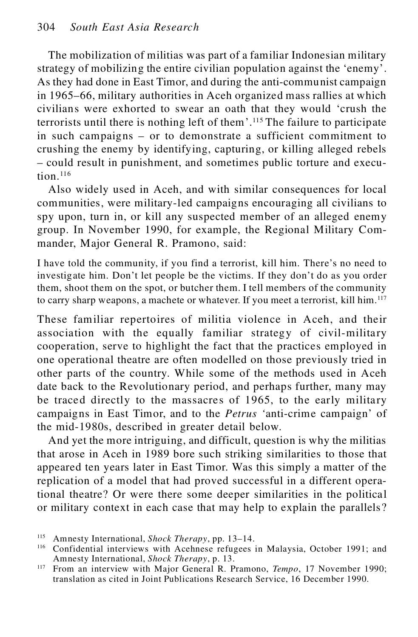The mobilization of militias was part of a familiar Indonesian military strategy of mobilizing the entire civilian population against the 'enemy'. As they had done in East Timor, and during the anti-communist campaign in 1965–66, military authorities in Aceh organized mass rallies at which civilians were exhorted to swear an oath that they would 'crush the terrorists until there is nothing left of them'.<sup>115</sup> The failure to participate in such campaigns – or to demonstrate a sufficient commitment to crushing the enemy by identifying, capturing, or killing alleged rebels – could result in punishment, and sometimes public torture and execution $116$ 

Also widely used in Aceh, and with similar consequences for local communities, were military-led campaigns encouraging all civilians to spy upon, turn in, or kill any suspected member of an alleged enemy group. In November 1990, for example, the Regional Military Commander, Major General R. Pramono, said:

I have told the community, if you find a terrorist, kill him. There's no need to investigate him. Don't let people be the victims. If they don't do as you order them, shoot them on the spot, or butcher them. I tell members of the community to carry sharp weapons, a machete or whatever. If you meet a terrorist, kill him.<sup>117</sup>

These familiar repertoires of militia violence in Aceh, and their association with the equally familiar strategy of civil-military cooperation, serve to highlight the fact that the practices employed in one operational theatre are often modelled on those previously tried in other parts of the country. While some of the methods used in Aceh date back to the Revolutionary period, and perhaps further, many may be traced directly to the massacres of 1965, to the early military campaigns in East Timor, and to the *Petrus '*anti-crime campaign' of the mid-1980s, described in greater detail below.

And yet the more intriguing, and difficult, question is why the militias that arose in Aceh in 1989 bore such striking similarities to those that appeared ten years later in East Timor. Was this simply a matter of the replication of a model that had proved successful in a different operational theatre? Or were there some deeper similarities in the political or military context in each case that may help to explain the parallels?

<sup>115</sup> Amnesty International, *Shock Therapy*, pp. 13–14.

<sup>116</sup> Confidential interviews with Acehnese refugees in Malaysia, October 1991; and Amnesty International, *Shock Therapy*, p. 13.

<sup>117</sup> From an interview with Major General R. Pramono, *Tempo*, 17 November 1990; translation as cited in Joint Publications Research Service, 16 December 1990.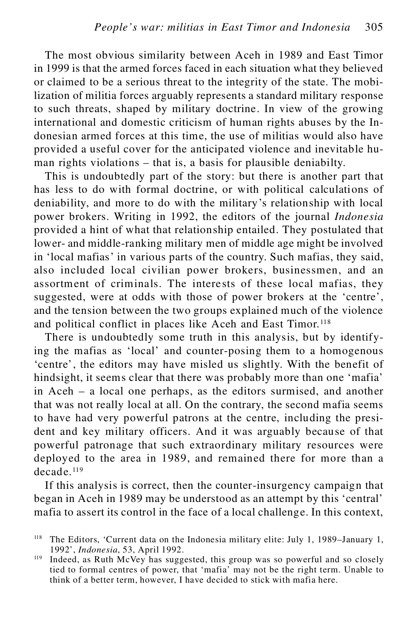The most obvious similarity between Aceh in 1989 and East Timor in 1999 is that the armed forces faced in each situation what they believed or claimed to be a serious threat to the integrity of the state. The mobilization of militia forces arguably represents a standard military response to such threats, shaped by military doctrine. In view of the growing international and domestic criticism of human rights abuses by the Indonesian armed forces at this time, the use of militias would also have provided a useful cover for the anticipated violence and inevitable human rights violations – that is, a basis for plausible deniabilty.

This is undoubtedly part of the story: but there is another part that has less to do with formal doctrine, or with political calculations of deniability, and more to do with the military's relationship with local power brokers. Writing in 1992, the editors of the journal *Indonesia* provided a hint of what that relationship entailed. They postulated that lower- and middle-ranking military men of middle age might be involved in 'local mafias' in various parts of the country. Such mafias, they said, also included local civilian power brokers, businessmen, and an assortment of criminals. The interests of these local mafias, they suggested, were at odds with those of power brokers at the 'centre', and the tension between the two groups explained much of the violence and political conflict in places like Aceh and East Timor.<sup>118</sup>

There is undoubtedly some truth in this analysis, but by identifying the mafias as 'local' and counter-posing them to a homogenous 'centre', the editors may have misled us slightly. With the benefit of hindsight, it seems clear that there was probably more than one 'mafia' in Aceh – a local one perhaps, as the editors surmised, and another that was not really local at all. On the contrary, the second mafia seems to have had very powerful patrons at the centre, including the president and key military officers. And it was arguably because of that powerful patronage that such extraordinary military resources were deployed to the area in 1989, and remained there for more than a decade.<sup>119</sup>

If this analysis is correct, then the counter-insurgency campaign that began in Aceh in 1989 may be understood as an attempt by this 'central' mafia to assert its control in the face of a local challenge. In this context,

<sup>&</sup>lt;sup>118</sup> The Editors, 'Current data on the Indonesia military elite: July 1, 1989–January 1, 1992', *Indonesia*, 53, April 1992.

<sup>119</sup> Indeed, as Ruth McVey has suggested, this group was so powerful and so closely tied to formal centres of power, that 'mafia' may not be the right term. Unable to think of a better term, however, I have decided to stick with mafia here.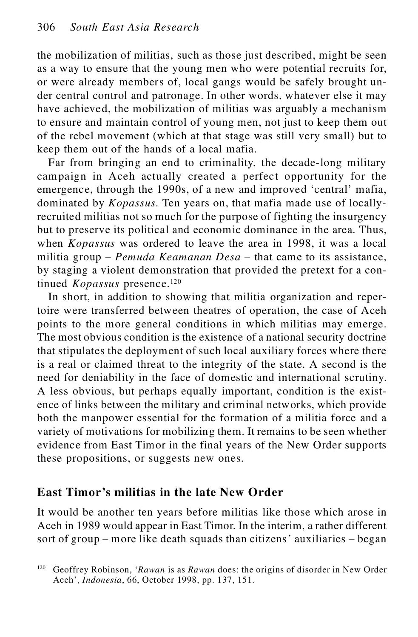the mobilization of militias, such as those just described, might be seen as a way to ensure that the young men who were potential recruits for, or were already members of, local gangs would be safely brought under central control and patronage. In other words, whatever else it may have achieved, the mobilization of militias was arguably a mechanism to ensure and maintain control of young men, not just to keep them out of the rebel movement (which at that stage was still very small) but to keep them out of the hands of a local mafia.

Far from bringing an end to criminality, the decade-long military campaign in Aceh actually created a perfect opportunity for the emergence, through the 1990s, of a new and improved 'central' mafia, dominated by *Kopassus.* Ten years on, that mafia made use of locallyrecruited militias not so much for the purpose of fighting the insurgency but to preserve its political and economic dominance in the area. Thus, when *Kopassus* was ordered to leave the area in 1998, it was a local militia group – *Pemuda Keamanan Desa –* that came to its assistance, by staging a violent demonstration that provided the pretext for a continued *Kopassus* presence.<sup>120</sup>

In short, in addition to showing that militia organization and repertoire were transferred between theatres of operation, the case of Aceh points to the more general conditions in which militias may emerge. The most obvious condition is the existence of a national security doctrine that stipulates the deployment of such local auxiliary forces where there is a real or claimed threat to the integrity of the state. A second is the need for deniability in the face of domestic and international scrutiny. A less obvious, but perhaps equally important, condition is the existence of links between the military and criminal networks, which provide both the manpower essential for the formation of a militia force and a variety of motivations for mobilizing them. It remains to be seen whether evidence from East Timor in the final years of the New Order supports these propositions, or suggests new ones.

#### **East Timor's militias in the late New Order**

It would be another ten years before militias like those which arose in Aceh in 1989 would appear in East Timor. In the interim, a rather different sort of group – more like death squads than citizens' auxiliaries – began

<sup>120</sup> Geoffrey Robinson, '*Rawan* is as *Rawan* does: the origins of disorder in New Order Aceh', *Indonesia*, 66, October 1998, pp. 137, 151.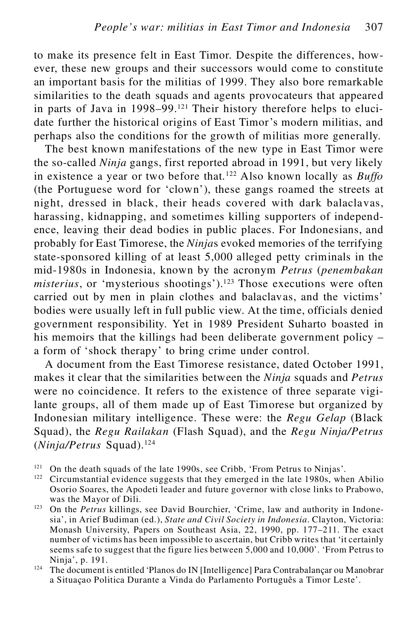to make its presence felt in East Timor. Despite the differences, how ever, these new groups and their successors would come to constitute an important basis for the militias of 1999. They also bore remarkable similarities to the death squads and agents provocateurs that appeared in parts of Java in 1998–99.<sup>121</sup> Their history therefore helps to elucidate further the historical origins of East Timor's modern militias, and perhaps also the conditions for the growth of militias more generally.

The best known manifestations of the new type in East Timor were the so-called *Ninja* gangs, first reported abroad in 1991, but very likely in existence a year or two before that.<sup>122</sup> Also known locally as *Buffo* (the Portuguese word for 'clown'), these gangs roamed the streets at night, dressed in black, their heads covered with dark balaclavas, harassing, kidnapping, and sometimes killing supporters of independence, leaving their dead bodies in public places. For Indonesians, and probably for East Timorese, the *Ninja*s evoked memories of the terrifying state-sponsored killing of at least 5,000 alleged petty criminals in the mid-1980s in Indonesia, known by the acronym *Petrus* (*penembakan misterius*, or 'mysterious shootings').<sup>123</sup> Those executions were often carried out by men in plain clothes and balaclavas, and the victims' bodies were usually left in full public view. At the time, officials denied government responsibility. Yet in 1989 President Suharto boasted in his memoirs that the killings had been deliberate government policy – a form of 'shock therapy' to bring crime under control.

A document from the East Timorese resistance, dated October 1991, makes it clear that the similarities between the *Ninja* squads and *Petrus* were no coincidence. It refers to the existence of three separate vigilante groups, all of them made up of East Timorese but organized by Indonesian military intelligence. These were: the *Regu Gelap* (Black Squad), the *Regu Railakan* (Flash Squad), and the *Regu Ninja/Petrus* (*Ninja/Petrus* Squad).<sup>124</sup>

<sup>124</sup> The document is entitled 'Planos do IN [Intelligence] Para Contrabalançar ou Manobrar a Situaçao Politica Durante a Vinda do Parlamento Português a Timor Leste'.

<sup>&</sup>lt;sup>121</sup> On the death squads of the late 1990s, see Cribb, 'From Petrus to Ninjas'.

 $122$  Circumstantial evidence suggests that they emerged in the late 1980s, when Abilio Osorio Soares, the Apodeti leader and future governor with close links to Prabowo, was the Mayor of Dili.

<sup>&</sup>lt;sup>123</sup> On the *Petrus* killings, see David Bourchier, 'Crime, law and authority in Indonesia', in Arief Budiman (ed.), *State and Civil Society in Indonesia*. Clayton, Victoria: Monash University, Papers on Southeast Asia, 22, 1990, pp. 177–211. The exact number of victims has been impossible to ascertain, but Cribb writes that 'it certainly seems safe to suggest that the figure lies between 5,000 and 10,000'. 'From Petrus to Ninja', p. 191.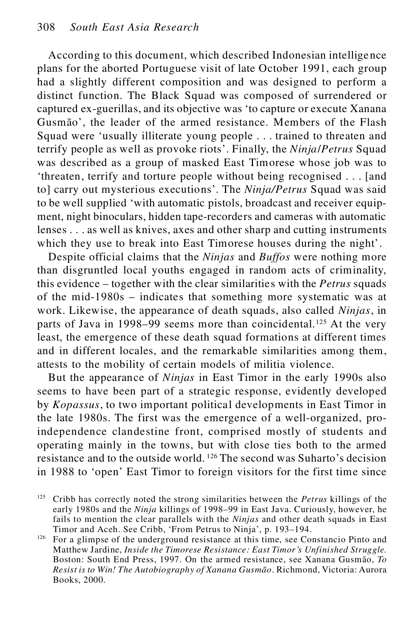According to this document, which described Indonesian intelligence plans for the aborted Portuguese visit of late October 1991, each group had a slightly different composition and was designed to perform a distinct function. The Black Squad was composed of surrendered or captured ex-guerillas, and its objective was 'to capture or execute Xanana Gusmão', the leader of the armed resistance. Members of the Flash Squad were 'usually illiterate young people . . . trained to threaten and terrify people as well as provoke riots'. Finally, the *Ninja*/*Petrus* Squad was described as a group of masked East Timorese whose job was to 'threaten, terrify and torture people without being recognised . . . [and to] carry out mysterious executions'. The *Ninja/Petrus* Squad was said to be well supplied 'with automatic pistols, broadcast and receiver equipment, night binoculars, hidden tape-recorders and cameras with automatic lenses . . . as well as knives, axes and other sharp and cutting instruments which they use to break into East Timorese houses during the night'.

Despite official claims that the *Ninjas* and *Buffos* were nothing more than disgruntled local youths engaged in random acts of criminality, this evidence – together with the clear similarities with the *Petrus* squads of the mid-1980s – indicates that something more systematic was at work. Likewise, the appearance of death squads, also called *Ninjas*, in parts of Java in 1998–99 seems more than coincidental.<sup>125</sup> At the very least, the emergence of these death squad formations at different times and in different locales, and the remarkable similarities among them, attests to the mobility of certain models of militia violence.

But the appearance of *Ninjas* in East Timor in the early 1990s also seems to have been part of a strategic response, evidently developed by *Kopassus*, to two important political developments in East Timor in the late 1980s. The first was the emergence of a well-organized, proindependence clandestine front, comprised mostly of students and operating mainly in the towns, but with close ties both to the armed resistance and to the outside world. <sup>126</sup> The second was Suharto's decision in 1988 to 'open' East Timor to foreign visitors for the first time since

<sup>125</sup> Cribb has correctly noted the strong similarities between the *Petrus* killings of the early 1980s and the *Ninja* killings of 1998–99 in East Java. Curiously, however, he fails to mention the clear parallels with the *Ninjas* and other death squads in East Timor and Aceh. See Cribb, 'From Petrus to Ninja', p. 193–194.

<sup>&</sup>lt;sup>126</sup> For a glimpse of the underground resistance at this time, see Constancio Pinto and Matthew Jardine, *Inside the Timorese Resistance: East Timor's Unfinished Struggle.* Boston: South End Press, 1997. On the armed resistance, see Xanana Gusmão, *To Resist is to Win! The Autobiography of Xanana Gusmão*. Richmond, Victoria: Aurora Books, 2000.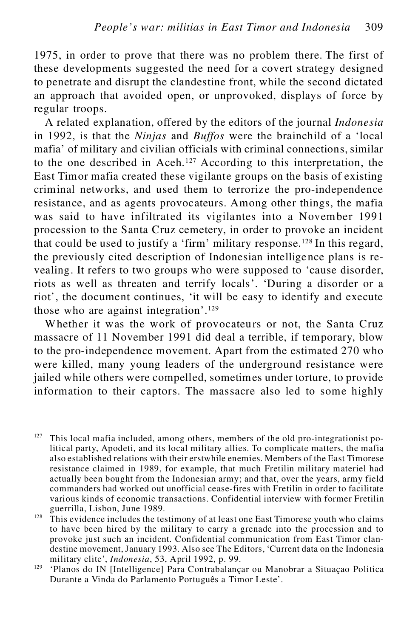1975, in order to prove that there was no problem there. The first of these developments suggested the need for a covert strategy designed to penetrate and disrupt the clandestine front, while the second dictated an approach that avoided open, or unprovoked, displays of force by regular troops.

A related explanation, offered by the editors of the journal *Indonesia* in 1992, is that the *Ninjas* and *Buffos* were the brainchild of a 'local mafia' of military and civilian officials with criminal connections, similar to the one described in Aceh.<sup>127</sup> According to this interpretation, the East Timor mafia created these vigilante groups on the basis of existing criminal networks, and used them to terrorize the pro-independence resistance, and as agents provocateurs. Among other things, the mafia was said to have infiltrated its vigilantes into a November 1991 procession to the Santa Cruz cemetery, in order to provoke an incident that could be used to justify a 'firm' military response.<sup>128</sup> In this regard, the previously cited description of Indonesian intelligence plans is revealing. It refers to two groups who were supposed to 'cause disorder, riots as well as threaten and terrify locals'. 'During a disorder or a riot', the document continues, 'it will be easy to identify and execute those who are against integration'.<sup>129</sup>

Whether it was the work of provocateurs or not, the Santa Cruz massacre of 11 November 1991 did deal a terrible, if temporary, blow to the pro-independence movement. Apart from the estimated 270 who were killed, many young leaders of the underground resistance were jailed while others were compelled, sometimes under torture, to provide information to their captors. The massacre also led to some highly

<sup>&</sup>lt;sup>127</sup> This local mafia included, among others, members of the old pro-integrationist political party, Apodeti, and its local military allies. To complicate matters, the mafia also established relations with their erstwhile enemies. Members of the East Timorese resistance claimed in 1989, for example, that much Fretilin military materiel had actually been bought from the Indonesian army; and that, over the years, army field commanders had worked out unofficial cease-fires with Fretilin in order to facilitate various kinds of economic transactions. Confidential interview with former Fretilin guerrilla, Lisbon, June 1989.

 $128$  This evidence includes the testimony of at least one East Timorese youth who claims to have been hired by the military to carry a grenade into the procession and to provoke just such an incident. Confidential communication from East Timor clandestine movement, January 1993. Also see The Editors, 'Current data on the Indonesia military elite', *Indonesia*, 53, April 1992, p. 99.

<sup>129</sup> 'Planos do IN [Intelligence] Para Contrabalançar ou Manobrar a Situaçao Politica Durante a Vinda do Parlamento Português a Timor Leste'.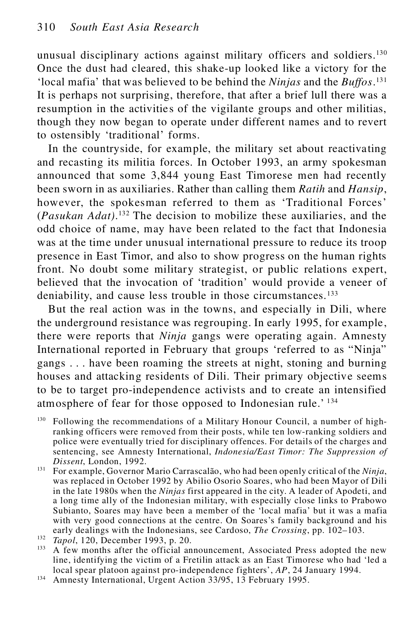unusual disciplinary actions against military officers and soldiers.<sup>130</sup> Once the dust had cleared, this shake-up looked like a victory for the 'local mafia' that was believed to be behind the *Ninjas* and the *Buffos*.<sup>131</sup> It is perhaps not surprising, therefore, that after a brief lull there was a resumption in the activities of the vigilante groups and other militias, though they now began to operate under different names and to revert to ostensibly 'traditional' forms.

In the countryside, for example, the military set about reactivating and recasting its militia forces. In October 1993, an army spokesman announced that some 3,844 young East Timorese men had recently been sworn in as auxiliaries. Rather than calling them *Ratih* and *Hansip*, however, the spokesman referred to them as 'Traditional Forces' (*Pasukan Adat)*.<sup>132</sup> The decision to mobilize these auxiliaries, and the odd choice of name, may have been related to the fact that Indonesia was at the time under unusual international pressure to reduce its troop presence in East Timor, and also to show progress on the human rights front. No doubt some military strategist, or public relations expert, believed that the invocation of 'tradition' would provide a veneer of deniability, and cause less trouble in those circumstances.<sup>133</sup>

But the real action was in the towns, and especially in Dili, where the underground resistance was regrouping. In early 1995, for example, there were reports that *Ninja* gangs were operating again. Amnesty International reported in February that groups 'referred to as "Ninja" gangs . . . have been roaming the streets at night, stoning and burning houses and attacking residents of Dili. Their primary objective seems to be to target pro-independence activists and to create an intensified atmosphere of fear for those opposed to Indonesian rule.' <sup>134</sup>

- Following the recommendations of a Military Honour Council, a number of highranking officers were removed from their posts, while ten low-ranking soldiers and police were eventually tried for disciplinary offences. For details of the charges and sentencing, see Amnesty International, *Indonesia/East Timor: The Suppression of Dissent*, London, 1992.
- <sup>131</sup> For example, Governor Mario Carrascalão, who had been openly critical of the *Ninja*, was replaced in October 1992 by Abilio Osorio Soares, who had been Mayor of Dili in the late 1980s when the *Ninjas* first appeared in the city. A leader of Apodeti, and a long time ally of the Indonesian military, with especially close links to Prabowo Subianto, Soares may have been a member of the 'local mafia' but it was a mafia with very good connections at the centre. On Soares's family background and his early dealings with the Indonesians, see Cardoso, *The Crossing*, pp. 102–103.

- <sup>133</sup> A few months after the official announcement, Associated Press adopted the new line, identifying the victim of a Fretilin attack as an East Timorese who had 'led a local spear platoon against pro-independence fighters', *AP*, 24 January 1994.
- 134 Amnesty International, Urgent Action 33/95, 13 February 1995.

<sup>132</sup> *Tapol*, 120, December 1993, p. 20.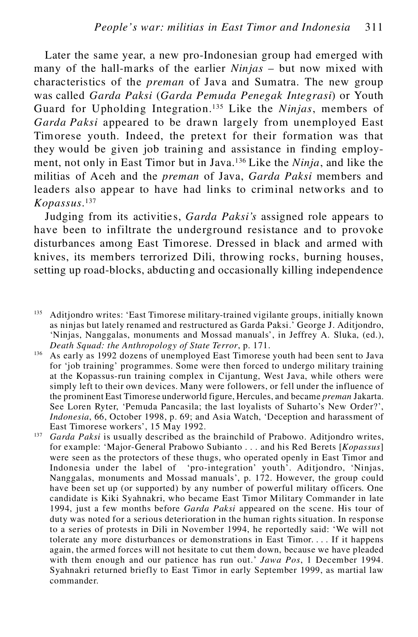Later the same year, a new pro-Indonesian group had emerged with many of the hall-marks of the earlier *Ninjas* – but now mixed with characteristics of the *preman* of Java and Sumatra. The new group was called *Garda Paksi* (*Garda Pemuda Penegak Integrasi*) or Youth Guard for Upholding Integration.<sup>135</sup> Like the *Ninjas*, members of *Garda Paksi* appeared to be drawn largely from unemployed East Timorese youth. Indeed, the pretext for their formation was that they would be given job training and assistance in finding employment, not only in East Timor but in Java.<sup>136</sup> Like the *Ninja*, and like the militias of Aceh and the *preman* of Java, *Garda Paksi* members and leaders also appear to have had links to criminal networks and to *Kopassus*.<sup>137</sup>

Judging from its activitie s, *Garda Paksi's* assigned role appears to have been to infiltrate the underground resistance and to provoke disturbances among East Timorese. Dressed in black and armed with knives, its members terrorized Dili, throwing rocks, burning houses, setting up road-blocks, abducting and occasionally killing independence

<sup>137</sup> *Garda Paksi* is usually described as the brainchild of Prabowo. Aditiondro writes, for example: 'Major-General Prabowo Subianto . . . and his Red Berets [*Kopassus*] were seen as the protectors of these thugs, who operated openly in East Timor and Indonesia under the label of 'pro-integration' youth'. Aditjondro, 'Ninjas, Nanggalas, monuments and Mossad manuals', p. 172. However, the group could have been set up (or supported) by any number of powerful military officers. One candidate is Kiki Syahnakri, who became East Timor Military Commander in late 1994, just a few months before *Garda Paksi* appeared on the scene. His tour of duty was noted for a serious deterioration in the human rights situation. In response to a series of protests in Dili in November 1994, he reportedly said: 'We will not tolerate any more disturbances or demonstrations in East Timor. . . . If it happens again, the armed forces will not hesitate to cut them down, because we have pleaded with them enough and our patience has run out.' *Jawa Pos*, 1 December 1994. Syahnakri returned briefly to East Timor in early September 1999, as martial law commander.

<sup>135</sup> Aditjondro writes: 'East Timorese military-trained vigilante groups, initially known as ninjas but lately renamed and restructured as Garda Paksi.' George J. Aditjondro, 'Ninjas, Nanggalas, monuments and Mossad manuals', in Jeffrey A. Sluka, (ed.), *Death Squad: the Anthropology of State Terror*, p. 171.

<sup>&</sup>lt;sup>136</sup> As early as 1992 dozens of unemployed East Timorese youth had been sent to Java for 'job training' programmes. Some were then forced to undergo military training at the Kopassus-run training complex in Cijantung, West Java, while others were simply left to their own devices. Many were followers, or fell under the influence of the prominent East Timorese underworld figure, Hercules, and became *preman* Jakarta. See Loren Ryter, 'Pemuda Pancasila; the last loyalists of Suharto's New Order?', *Indonesia*, 66, October 1998, p. 69; and Asia Watch, 'Deception and harassment of East Timorese workers', 15 May 1992.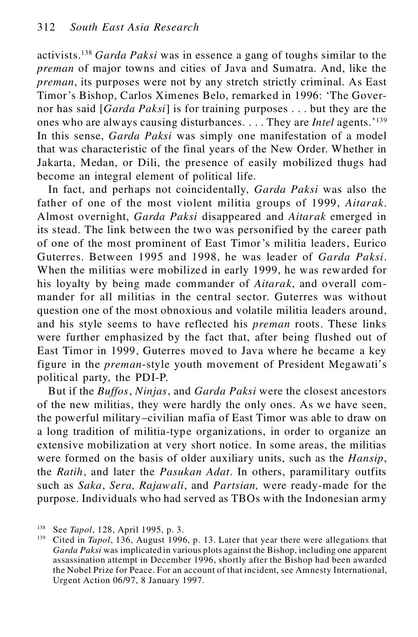activists.<sup>138</sup> *Garda Paksi* was in essence a gang of toughs similar to the *preman* of major towns and cities of Java and Sumatra. And, like the *preman*, its purposes were not by any stretch strictly criminal. As East Timor's Bishop, Carlos Ximenes Belo, remarked in 1996: 'The Governor has said [*Garda Paksi*] is for training purposes . . . but they are the ones who are always causing disturbances. . . . They are *Intel* agents.' 139 In this sense, *Garda Paksi* was simply one manifestation of a model that was characteristic of the final years of the New Order. Whether in Jakarta, Medan, or Dili, the presence of easily mobilized thugs had become an integral element of political life.

In fact, and perhaps not coincidentally, *Garda Paksi* was also the father of one of the most violent militia groups of 1999, *Aitarak*. Almost overnight, *Garda Paksi* disappeared and *Aitarak* emerged in its stead. The link between the two was personified by the career path of one of the most prominent of East Timor's militia leaders, Eurico Guterres. Between 1995 and 1998, he was leader of *Garda Paksi*. When the militias were mobilized in early 1999, he was rewarded for his loyalty by being made commander of *Aitarak*, and overall com mander for all militias in the central sector. Guterres was without question one of the most obnoxious and volatile militia leaders around, and his style seems to have reflected his *preman* roots. These links were further emphasized by the fact that, after being flushed out of East Timor in 1999, Guterres moved to Java where he became a key figure in the *preman*-style youth movement of President Megawati's political party, the PDI-P.

But if the *Buffos*, *Ninjas*, and *Garda Paksi* were the closest ancestors of the new militias, they were hardly the only ones. As we have seen, the powerful military–civilian mafia of East Timor was able to draw on a long tradition of militia-type organizations, in order to organize an extensive mobilization at very short notice. In some areas, the militias were formed on the basis of older auxiliary units, such as the *Hansip*, the *Ratih*, and later the *Pasukan Adat*. In others, paramilitary outfits such as *Saka*, *Sera, Rajawali*, and *Partsian,* were ready-made for the purpose. Individuals who had served as TBOs with the Indonesian army

<sup>138</sup> See *Tapol*, 128, April 1995, p. 3.

<sup>139</sup> Cited in *Tapol*, 136, August 1996, p. 13. Later that year there were allegations that *Garda Paksi* was implicated in various plots against the Bishop, including one apparent assassination attempt in December 1996, shortly after the Bishop had been awarded the Nobel Prize for Peace. For an account of that incident, see Amnesty International, Urgent Action 06/97, 8 January 1997.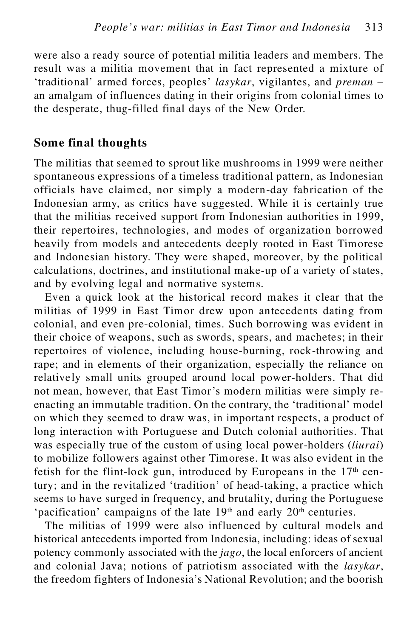were also a ready source of potential militia leaders and members. The result was a militia movement that in fact represented a mixture of 'traditional' armed forces, peoples' *lasykar*, vigilantes, and *preman* – an amalgam of influences dating in their origins from colonial times to the desperate, thug-filled final days of the New Order.

#### **Some final thoughts**

The militias that seemed to sprout like mushrooms in 1999 were neither spontaneous expressions of a timeless traditional pattern, as Indonesian officials have claimed, nor simply a modern-day fabrication of the Indonesian army, as critics have suggested. While it is certainly true that the militias received support from Indonesian authorities in 1999, their repertoires, technologies, and modes of organization borrowed heavily from models and antecedents deeply rooted in East Timorese and Indonesian history. They were shaped, moreover, by the political calculations, doctrines, and institutional make-up of a variety of states, and by evolving legal and normative systems.

Even a quick look at the historical record makes it clear that the militias of 1999 in East Timor drew upon antecedents dating from colonial, and even pre-colonial, times. Such borrowing was evident in their choice of weapons, such as swords, spears, and machetes; in their repertoires of violence, including house-burning, rock-throwing and rape; and in elements of their organization, especially the reliance on relatively small units grouped around local power-holders. That did not mean, however, that East Timor's modern militias were simply reenacting an immutable tradition. On the contrary, the 'traditional' model on which they seemed to draw was, in important respects, a product of long interaction with Portuguese and Dutch colonial authorities. That was especially true of the custom of using local power-holders (*liurai*) to mobilize followers against other Timorese. It was also evident in the fetish for the flint-lock gun, introduced by Europeans in the  $17<sup>th</sup>$  century; and in the revitalized 'tradition' of head-taking, a practice which seems to have surged in frequency, and brutality, during the Portuguese 'pacification' campaigns of the late 19<sup>th</sup> and early 20<sup>th</sup> centuries.

The militias of 1999 were also influenced by cultural models and historical antecedents imported from Indonesia, including: ideas of sexual potency commonly associated with the *jago*, the local enforcers of ancient and colonial Java; notions of patriotism associated with the *lasykar*, the freedom fighters of Indonesia's National Revolution; and the boorish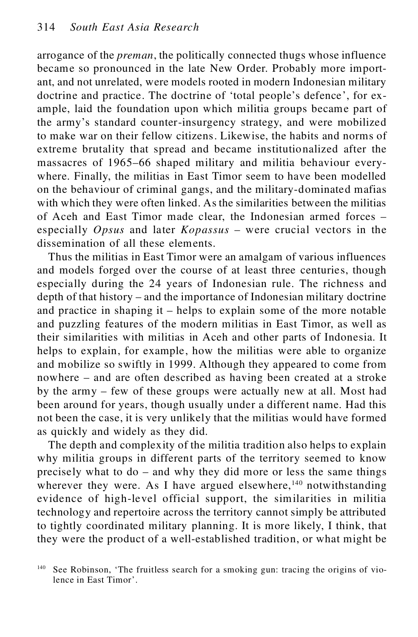arrogance of the *preman*, the politically connected thugs whose influence became so pronounced in the late New Order. Probably more important, and not unrelated, were models rooted in modern Indonesian military doctrine and practice. The doctrine of 'total people's defence', for example, laid the foundation upon which militia groups became part of the army's standard counter-insurgency strategy, and were mobilized to make war on their fellow citizens. Likewise, the habits and norms of extreme brutality that spread and became institutionalized after the massacres of 1965–66 shaped military and militia behaviour everywhere. Finally, the militias in East Timor seem to have been modelled on the behaviour of criminal gangs, and the military-dominated mafias with which they were often linked. As the similarities between the militias of Aceh and East Timor made clear, the Indonesian armed forces – especially *Opsus* and later *Kopassus* – were crucial vectors in the dissemination of all these elements.

Thus the militias in East Timor were an amalgam of various influences and models forged over the course of at least three centuries, though especially during the 24 years of Indonesian rule. The richness and depth of that history – and the importance of Indonesian military doctrine and practice in shaping it – helps to explain some of the more notable and puzzling features of the modern militias in East Timor, as well as their similarities with militias in Aceh and other parts of Indonesia. It helps to explain, for example, how the militias were able to organize and mobilize so swiftly in 1999. Although they appeared to come from nowhere – and are often described as having been created at a stroke by the army – few of these groups were actually new at all. Most had been around for years, though usually under a different name. Had this not been the case, it is very unlikely that the militias would have formed as quickly and widely as they did.

The depth and complexity of the militia tradition also helps to explain why militia groups in different parts of the territory seemed to know precisely what to do – and why they did more or less the same things wherever they were. As I have argued elsewhere, $140$  notwithstanding evidence of high-level official support, the similarities in militia technology and repertoire across the territory cannot simply be attributed to tightly coordinated military planning. It is more likely, I think, that they were the product of a well-established tradition, or what might be

<sup>&</sup>lt;sup>140</sup> See Robinson, 'The fruitless search for a smoking gun: tracing the origins of violence in East Timor'.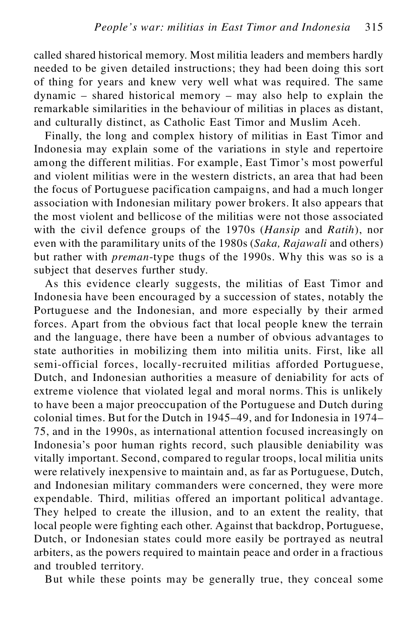called shared historical memory. Most militia leaders and members hardly needed to be given detailed instructions; they had been doing this sort of thing for years and knew very well what was required. The same dynamic – shared historical memory – may also help to explain the remarkable similarities in the behaviour of militias in places as distant, and culturally distinct, as Catholic East Timor and Muslim Aceh.

Finally, the long and complex history of militias in East Timor and Indonesia may explain some of the variations in style and repertoire among the different militias. For example, East Timor's most powerful and violent militias were in the western districts, an area that had been the focus of Portuguese pacification campaigns, and had a much longer association with Indonesian military power brokers. It also appears that the most violent and bellicose of the militias were not those associated with the civil defence groups of the 1970s (*Hansip* and *Ratih*), nor even with the paramilitary units of the 1980s (*Saka, Rajawali* and others) but rather with *preman*-type thugs of the 1990s. Why this was so is a subject that deserves further study.

As this evidence clearly suggests, the militias of East Timor and Indonesia have been encouraged by a succession of states, notably the Portuguese and the Indonesian, and more especially by their armed forces. Apart from the obvious fact that local people knew the terrain and the language, there have been a number of obvious advantages to state authorities in mobilizing them into militia units. First, like all semi-official forces, locally-recruited militias afforded Portuguese, Dutch, and Indonesian authorities a measure of deniability for acts of extreme violence that violated legal and moral norms. This is unlikely to have been a major preoccupation of the Portuguese and Dutch during colonial times. But for the Dutch in 1945–49, and for Indonesia in 1974– 75, and in the 1990s, as international attention focused increasingly on Indonesia's poor human rights record, such plausible deniability was vitally important. Second, compared to regular troops, local militia units were relatively inexpensive to maintain and, as far as Portuguese, Dutch, and Indonesian military commanders were concerned, they were more expendable. Third, militias offered an important political advantage. They helped to create the illusion, and to an extent the reality, that local people were fighting each other. Against that backdrop, Portuguese, Dutch, or Indonesian states could more easily be portrayed as neutral arbiters, as the powers required to maintain peace and order in a fractious and troubled territory.

But while these points may be generally true, they conceal some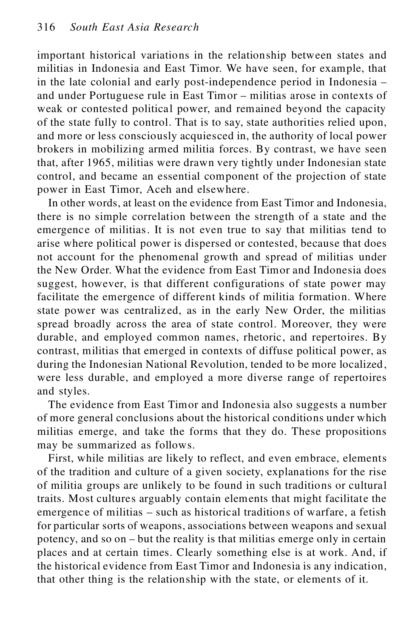important historical variations in the relationship between states and militias in Indonesia and East Timor. We have seen, for example, that in the late colonial and early post-independence period in Indonesia – and under Portuguese rule in East Timor – militias arose in contexts of weak or contested political power, and remained beyond the capacity of the state fully to control. That is to say, state authorities relied upon, and more or less consciously acquiesced in, the authority of local power brokers in mobilizing armed militia forces. By contrast, we have seen that, after 1965, militias were drawn very tightly under Indonesian state control, and became an essential component of the projection of state power in East Timor, Aceh and elsewhere.

In other words, at least on the evidence from East Timor and Indonesia, there is no simple correlation between the strength of a state and the emergence of militias. It is not even true to say that militias tend to arise where political power is dispersed or contested, because that does not account for the phenomenal growth and spread of militias under the New Order. What the evidence from East Timor and Indonesia does suggest, however, is that different configurations of state power may facilitate the emergence of different kinds of militia formation. Where state power was centralized, as in the early New Order, the militias spread broadly across the area of state control. Moreover, they were durable, and employed common names, rhetoric, and repertoires. By contrast, militias that emerged in contexts of diffuse political power, as during the Indonesian National Revolution, tended to be more localized, were less durable, and employed a more diverse range of repertoires and styles.

The evidence from East Timor and Indonesia also suggests a number of more general conclusions about the historical conditions under which militias emerge, and take the forms that they do. These propositions may be summarized as follows.

First, while militias are likely to reflect, and even embrace, elements of the tradition and culture of a given society, explanations for the rise of militia groups are unlikely to be found in such traditions or cultural traits. Most cultures arguably contain elements that might facilitate the emergence of militias – such as historical traditions of warfare, a fetish for particular sorts of weapons, associations between weapons and sexual potency, and so on – but the reality is that militias emerge only in certain places and at certain times. Clearly something else is at work. And, if the historical evidence from East Timor and Indonesia is any indication, that other thing is the relationship with the state, or elements of it.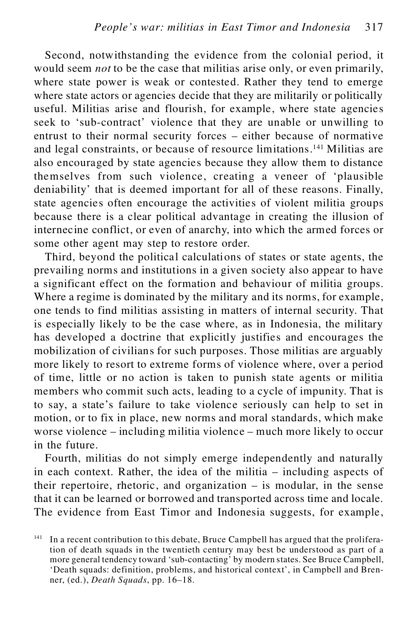Second, notwithstanding the evidence from the colonial period, it would seem *not* to be the case that militias arise only, or even primarily, where state power is weak or contested. Rather they tend to emerge where state actors or agencies decide that they are militarily or politically useful. Militias arise and flourish, for example, where state agencies seek to 'sub-contract' violence that they are unable or unwilling to entrust to their normal security forces – either because of normative and legal constraints, or because of resource limitations.<sup>141</sup> Militias are also encouraged by state agencies because they allow them to distance themselves from such violence, creating a veneer of 'plausible deniability' that is deemed important for all of these reasons. Finally, state agencies often encourage the activities of violent militia groups because there is a clear political advantage in creating the illusion of internecine conflict, or even of anarchy, into which the armed forces or some other agent may step to restore order.

Third, beyond the political calculations of states or state agents, the prevailing norms and institutions in a given society also appear to have a significant effect on the formation and behaviour of militia groups. Where a regime is dominated by the military and its norms, for example, one tends to find militias assisting in matters of internal security. That is especially likely to be the case where, as in Indonesia, the military has developed a doctrine that explicitly justifies and encourages the mobilization of civilians for such purposes. Those militias are arguably more likely to resort to extreme forms of violence where, over a period of time, little or no action is taken to punish state agents or militia members who commit such acts, leading to a cycle of impunity. That is to say, a state's failure to take violence seriously can help to set in motion, or to fix in place, new norms and moral standards, which make worse violence – including militia violence – much more likely to occur in the future.

Fourth, militias do not simply emerge independently and naturally in each context. Rather, the idea of the militia – including aspects of their repertoire, rhetoric, and organization – is modular, in the sense that it can be learned or borrowed and transported across time and locale. The evidence from East Timor and Indonesia suggests, for example,

In a recent contribution to this debate, Bruce Campbell has argued that the proliferation of death squads in the twentieth century may best be understood as part of a more general tendency toward 'sub-contacting' by modern states. See Bruce Campbell, 'Death squads: definition, problems, and historical context', in Campbell and Brenner, (ed.), *Death Squads*, pp. 16–18.